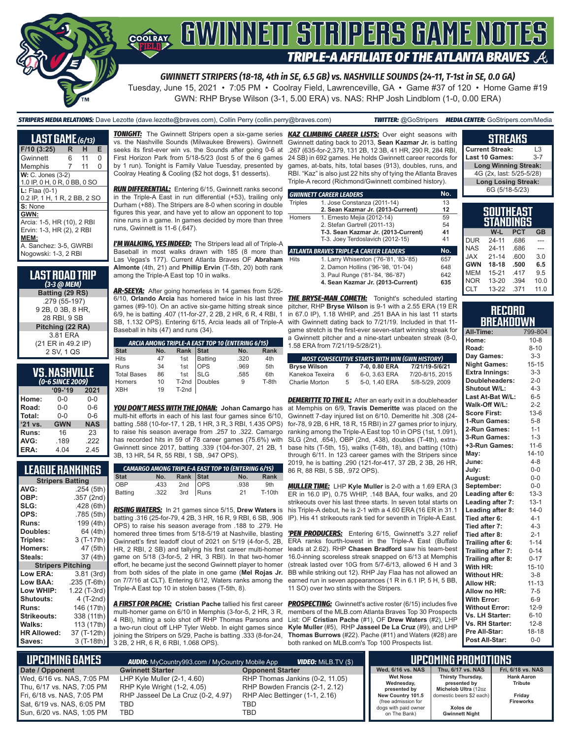# GWINNEIT STRIPERS GAME NOTES COOLRAY **TRIPLE-A AFFILIATE OF THE ATLANTA BRAVES**

*GWINNETT STRIPERS (18-18, 4th in SE, 6.5 GB) vs. NASHVILLE SOUNDS (24-11, T-1st in SE, 0.0 GA)*

Tuesday, June 15, 2021 • 7:05 PM • Coolray Field, Lawrenceville, GA • Game #37 of 120 • Home Game #19 GWN: RHP Bryse Wilson (3-1, 5.00 ERA) vs. NAS: RHP Josh Lindblom (1-0, 0.00 ERA)

*STRIPERS MEDIA RELATIONS:* Dave Lezotte (dave.lezotte@braves.com), Collin Perry (collin.perry@braves.com) *TWITTER:* @GoStripers *MEDIA CENTER:* GoStripers.com/Media

**LAST GAME** *(6/13)* **F/10 (3:25) R H E Gwinnett** Memphis 7 11 0 **W: C. Jones (3-2)** 1.0 IP, 0 H, 0 R, 0 BB, 0 SO **L:** Flaa (0-1) 0.2 IP, 1 H, 1 R, 2 BB, 2 SO **S:** None **GWN:** Arcia: 1-5, HR (10), 2 RBI Ervin: 1-3, HR (2), 2 RBI **MEM:** A. Sanchez: 3-5, GWRBI Nogowski: 1-3, 2 RBI



#### **VS. NASHVILLE**  *(0-6 SINCE 2009)*

| -----   |            |            |  |  |  |  |  |  |  |  |
|---------|------------|------------|--|--|--|--|--|--|--|--|
|         | $'09-'19$  | 2021       |  |  |  |  |  |  |  |  |
| Home:   | $0 - 0$    | $0 - 0$    |  |  |  |  |  |  |  |  |
| Road:   | $0 - 0$    | $0 - 6$    |  |  |  |  |  |  |  |  |
| Total:  | $0 - 0$    | $0 - 6$    |  |  |  |  |  |  |  |  |
| '21 vs. | <b>GWN</b> | <b>NAS</b> |  |  |  |  |  |  |  |  |
| Runs:   | 16         | 23         |  |  |  |  |  |  |  |  |
| AVG:    | .189       | .222       |  |  |  |  |  |  |  |  |
| ERA:    | 4.04       | 2.45       |  |  |  |  |  |  |  |  |

### **LEAGUE RANKINGS**

| <b>Stripers Batting</b>  |              |  |  |  |  |  |  |  |
|--------------------------|--------------|--|--|--|--|--|--|--|
| AVG:                     | .254 (5th)   |  |  |  |  |  |  |  |
| OBP:                     | .357 (2nd)   |  |  |  |  |  |  |  |
| SLG:                     | .428(6th)    |  |  |  |  |  |  |  |
| OPS:                     | .785 (5th)   |  |  |  |  |  |  |  |
| <b>Runs:</b>             | 199 (4th)    |  |  |  |  |  |  |  |
| Doubles:                 | 64 (4th)     |  |  |  |  |  |  |  |
| Triples:                 | 3 (T-17th)   |  |  |  |  |  |  |  |
| <b>Homers:</b>           | 47 (5th)     |  |  |  |  |  |  |  |
| Steals:                  | 37 (4th)     |  |  |  |  |  |  |  |
| <b>Stripers Pitching</b> |              |  |  |  |  |  |  |  |
| <b>Low ERA:</b>          | 3.81 (3rd)   |  |  |  |  |  |  |  |
| <b>Low BAA:</b>          | .235 (T-6th) |  |  |  |  |  |  |  |
| Low WHIP:                | 1.22 (T-3rd) |  |  |  |  |  |  |  |
| Shutouts:                | 4 (T-2nd)    |  |  |  |  |  |  |  |
| <b>Runs:</b>             | 146 (17th)   |  |  |  |  |  |  |  |
| <b>Strikeouts:</b>       | 338 (11th)   |  |  |  |  |  |  |  |
| Walks:                   | 113 (17th)   |  |  |  |  |  |  |  |
| <b>HR Allowed:</b>       | 37 (T-12th)  |  |  |  |  |  |  |  |
| Saves:                   | 3 (T-18th)   |  |  |  |  |  |  |  |

vs. the Nashville Sounds (Milwaukee Brewers). Gwinnett seeks its first-ever win vs. the Sounds after going 0-6 at First Horizon Park from 5/18-5/23 (lost 5 of the 6 games by 1 run). Tonight is Family Value Tuesday, presented by Coolray Heating & Cooling (\$2 hot dogs, \$1 desserts).

*RUN DIFFERENTIAL:* Entering 6/15, Gwinnett ranks second in the Triple-A East in run differential (+53), trailing only Durham (+88). The Stripers are 8-0 when scoring in double figures this year, and have yet to allow an opponent to top nine runs in a game. In games decided by more than three runs, Gwinnett is 11-6 (.647).

*I'M WALKING, YES INDEED:* The Stripers lead all of Triple-A Baseball in most walks drawn with 185 (8 more than Las Vegas's 177). Current Atlanta Braves OF **Abraham Almonte** (4th, 21) and **Phillip Ervin** (T-5th, 20) both rank among the Triple-A East top 10 in walks.

*AR-SEEYA:* After going homerless in 14 games from 5/26- 6/10, **Orlando Arcia** has homered twice in his last three *THE BRYSE-MAN COMETH:* Tonight's scheduled starting games (#9-10). On an active six-game hitting streak since 6/9, he is batting .407 (11-for-27, 2 2B, 2 HR, 6 R, 4 RBI, 1 SB, 1.132 OPS). Entering 6/15, Arcia leads all of Triple-A Baseball in hits (47) and runs (34).

|                    |     |           | ARCIA AMONG TRIPLE-A EAST TOP 10 (ENTERING 6/15) |      |             |
|--------------------|-----|-----------|--------------------------------------------------|------|-------------|
| <b>Stat</b>        | No. | Rank Stat |                                                  | No.  | <b>Rank</b> |
| <b>Hits</b>        | 47  |           |                                                  | .320 | 4th         |
| Runs               | 34  |           | 1st Batting<br>1st OPS<br>OPS                    | .969 | 5th         |
| <b>Total Bases</b> | 86  | 1st       | <b>SLG</b>                                       | .585 | 6th         |
| Homers             | 10  |           | T-2nd Doubles                                    | 9    | T-8th       |
| <b>XBH</b>         | 19  | T-2nd     |                                                  |      |             |

*YOU DON'T MESS WITH THE JOHAN:* **Johan Camargo** has multi-hit efforts in each of his last four games since 6/10, batting .588 (10-for-17, 1 2B, 1 HR, 3 R, 3 RBI, 1.435 OPS) to raise his season average from .257 to .322. Camargo has recorded hits in 59 of 78 career games (75.6%) with Gwinnett since 2017, batting .339 (104-for-307, 21 2B, 1 3B, 13 HR, 54 R, 55 RBI, 1 SB, .947 OPS).

| <b>CAMARGO AMONG TRIPLE-A EAST TOP 10 (ENTERING 6/15)</b> |      |                                  |  |      |          |  |  |  |
|-----------------------------------------------------------|------|----------------------------------|--|------|----------|--|--|--|
| <b>Stat</b>                                               | No.  |                                  |  | No.  | Rank     |  |  |  |
| OBP                                                       | .433 |                                  |  | .938 | 9th      |  |  |  |
| <b>Batting</b>                                            | .322 | Rank Stat<br>2nd OPS<br>3rd Runs |  | 21   | $T-10th$ |  |  |  |

*RISING WATERS:* In 21 games since 5/15, **Drew Waters** is batting .316 (25-for-79, 4 2B, 3 HR, 16 R, 9 RBI, 6 SB, .906 OPS) to raise his season average from .188 to .279. He homered three times from 5/18-5/19 at Nashville, blasting Gwinnett's first leadoff clout of 2021 on 5/19 (4-for-5, 2B, HR, 2 RBI, 2 SB) and tallying his first career multi-homer game on 5/18 (3-for-5, 2 HR, 3 RBI). In that two-homer effort, he became just the second Gwinnett player to homer from both sides of the plate in one game (**Mel Rojas Jr.** on 7/7/16 at CLT). Entering 6/12, Waters ranks among the Triple-A East top 10 in stolen bases (T-5th, 8).

*A FIRST FOR PACHE:* **Cristian Pache** tallied his first career multi-homer game on 6/10 in Memphis (3-for-5, 2 HR, 3 R, 4 RBI), hitting a solo shot off RHP Thomas Parsons and a two-run clout off LHP Tyler Webb. In eight games since joining the Stripers on 5/29, Pache is batting .333 (8-for-24, 3 2B, 2 HR, 6 R, 6 RBI, 1.068 OPS).

*TONIGHT:* The Gwinnett Stripers open a six-game series *KAZ CLIMBING CAREER LISTS:* Over eight seasons with Gwinnett dating back to 2013, **Sean Kazmar Jr.** is batting .267 (635-for-2,379, 131 2B, 12 3B, 41 HR, 290 R, 284 RBI, 24 SB) in 692 games. He holds Gwinnett career records for games, at-bats, hits, total bases (913), doubles, runs, and RBI. "Kaz" is also just 22 hits shy of tying the Atlanta Braves Triple-A record (Richmond/Gwinnett combined history).

|                | <b>GWINNETT CAREER LEADERS</b>                | No. |
|----------------|-----------------------------------------------|-----|
| <b>Triples</b> | 1. Jose Constanza (2011-14)                   | 13  |
|                | 2. Sean Kazmar Jr. (2013-Current)             | 12  |
| <b>Homers</b>  | 1. Ernesto Mejia (2012-14)                    | 59  |
|                | 2. Stefan Gartrell (2011-13)                  | 54  |
|                | T-3. Sean Kazmar Jr. (2013-Current)           | 41  |
|                | T-3. Joey Terdoslavich (2012-15)              | 41  |
|                | <b>ATLANTA BRAVES TRIPLE-A CAREER LEADERS</b> | No. |
| <b>Hits</b>    | 1. Larry Whisenton ('76-'81, '83-'85)         | 657 |
|                | 2. Damon Hollins ('96-'98, '01-'04)           | 648 |
|                | 3. Paul Runge ('81-'84, '86-'87)              | 642 |
|                | 4. Sean Kazmar Jr. (2013-Current)             | 635 |

pitcher, RHP **Bryse Wilson** is 9-1 with a 2.55 ERA (19 ER in 67.0 IP), 1.18 WHIP, and .251 BAA in his last 11 starts with Gwinnett dating back to 7/21/19. Included in that 11 game stretch is the first-ever seven-start winning streak for a Gwinnett pitcher and a nine-start unbeaten streak (8-0, 1.58 ERA from 7/21/19-5/28/21).

|                     |   | <b>MOST CONSECUTIVE STARTS WITH WIN (GWN HISTORY)</b> |                 |
|---------------------|---|-------------------------------------------------------|-----------------|
| <b>Bryse Wilson</b> | 7 | 7-0, 0.80 ERA                                         | 7/21/19-5/6/21  |
| Kanekoa Texeira     | 6 | 6-0. 3.63 ERA                                         | 7/20-8/15, 2015 |
| Charlie Morton      | 5 | 5-0, 1.40 ERA                                         | 5/8-5/29, 2009  |

**DEMERITTE TO THE IL:** After an early exit in a doubleheader at Memphis on 6/9, **Travis Demeritte** was placed on the Gwinnett 7-day injured list on 6/10. Demeritte hit .308 (24 for-78, 9 2B, 6 HR, 18 R, 15 RBI) in 27 games prior to injury, ranking among the Triple-A East top 10 in OPS (1st, 1.091), SLG (2nd, .654), OBP (2nd, .438), doubles (T-4th), extrabase hits (T-5th, 15), walks (T-6th, 18), and batting (10th) through 6/11. In 123 career games with the Stripers since 2019, he is batting .290 (121-for-417, 37 2B, 2 3B, 26 HR, 86 R, 88 RBI, 5 SB, .972 OPS).

*MULLER TIME:* LHP **Kyle Muller** is 2-0 with a 1.69 ERA (3 ER in 16.0 IP), 0.75 WHIP, .148 BAA, four walks, and 20 strikeouts over his last three starts. In seven total starts on his Triple-A debut, he is 2-1 with a 4.60 ERA (16 ER in 31.1 IP). His 41 strikeouts rank tied for seventh in Triple-A East.

*'PEN PRODUCERS:* Entering 6/15, Gwinnett's 3.27 relief ERA ranks fourth-lowest in the Triple-A East (Buffalo leads at 2.62). RHP **Chasen Bradford** saw his team-best 16.0-inning scoreless streak snapped on 6/13 at Memphis (streak lasted over 10G from 5/7-6/13, allowed 6 H and 3 BB while striking out 12). RHP Jay Flaa has not allowed an earned run in seven appearances (1 R in 6.1 IP, 5 H, 5 BB, 11 SO) over two stints with the Stripers.

**PROSPECTING:** Gwinnett's active roster (6/15) includes five members of the MLB.com Atlanta Braves Top 30 Prospects List: OF **Cristian Pache** (#1), OF **Drew Waters** (#2), LHP **Kyle Muller** (#5), RHP **Jasseel De La Cruz** (#9), and LHP **Thomas Burrows** (#22). Pache (#11) and Waters (#28) are both ranked on MLB.com's Top 100 Prospects list.

| <b>Current Streak:</b>      | 13      |  |  |  |  |  |  |
|-----------------------------|---------|--|--|--|--|--|--|
| Last 10 Games:              | $3 - 7$ |  |  |  |  |  |  |
| <b>Long Winning Streak:</b> |         |  |  |  |  |  |  |
| 4G (2x, last: 5/25-5/28)    |         |  |  |  |  |  |  |
| <b>Long Losing Streak:</b>  |         |  |  |  |  |  |  |
| 6G (5/18-5/23)              |         |  |  |  |  |  |  |
|                             |         |  |  |  |  |  |  |
|                             |         |  |  |  |  |  |  |

**STREAKS**

|            | SOUTHEAST<br>STANDINGS |            |           |
|------------|------------------------|------------|-----------|
|            | W-L                    | <b>PCT</b> | <b>GB</b> |
| <b>DUR</b> | $24 - 11$              | .686       |           |
| <b>NAS</b> | $24 - 11$              | .686       |           |
| <b>JAX</b> | $21 - 14$              | .600       | 3.0       |
| <b>GWN</b> | 18-18                  | .500       | 6.5       |
| <b>MEM</b> | $15 - 21$              | .417       | 9.5       |
| <b>NOR</b> | $13 - 20$              | .394       | 10.0      |
| <b>CLT</b> | $13 - 22$              | .371       | 11.0      |

|  | RECORD           |  |  |
|--|------------------|--|--|
|  | <b>BREAKDOWN</b> |  |  |

| ---<br>All-Time:      | . .<br>799-804 |
|-----------------------|----------------|
| Home:                 | $10 - 8$       |
| Road:                 | $8 - 10$       |
| Day Games:            | $3 - 3$        |
| <b>Night Games:</b>   | $15 - 15$      |
| <b>Extra Innings:</b> | $3 - 3$        |
| Doubleheaders:        | $2 - 0$        |
| <b>Shutout W/L:</b>   | $4 - 3$        |
| Last At-Bat W/L:      | $6 - 5$        |
| Walk-Off W/L:         | $2 - 2$        |
| <b>Score First:</b>   | $13-6$         |
| 1-Run Games:          | $5 - 8$        |
| 2-Run Games:          | $1 - 1$        |
| 3-Run Games:          | $1 - 3$        |
| +3-Run Games:         | $11 - 6$       |
| May:                  | $14 - 10$      |
| June:                 | $4 - 8$        |
| July:                 | $0-0$          |
| August:               | $0-0$          |
| September:            | $0-0$          |
| Leading after 6:      | $13 - 3$       |
| Leading after 7:      | $13 - 1$       |
| Leading after 8:      | $14-0$         |
| Tied after 6:         | $4 - 1$        |
| Tied after 7:         | $4 - 3$        |
| Tied after 8:         | $2 - 1$        |
| Trailing after 6:     | $1 - 14$       |
| Trailing after 7:     | $0 - 14$       |
| Trailing after 8:     | $0 - 17$       |
| With HR:              | $15 - 10$      |
| <b>Without HR:</b>    | $3 - 8$        |
| Allow HR:             | $11 - 13$      |
| Allow no HR:          | $7 - 5$        |
| <b>With Error:</b>    | $6-9$          |
| <b>Without Error:</b> | $12-9$         |
| Vs. LH Starter:       | $6 - 10$       |
| Vs. RH Starter:       | $12 - 8$       |
| Pre All-Star:         | 18-18          |
| Post All-Star:        | $0 - 0$        |

| <b>UPCOMING GAMES</b>                                    | <b>AUDIO:</b> MyCountry993.com / MyCountry Mobile App        | <b>VIDEO:</b> MILB.TV (\$)                                        |                                                             | I UPCOMING PROMOTIONS "                                          |                                     |
|----------------------------------------------------------|--------------------------------------------------------------|-------------------------------------------------------------------|-------------------------------------------------------------|------------------------------------------------------------------|-------------------------------------|
| Date / Opponent                                          | <b>Gwinnett Starter</b>                                      | <b>Opponent Starter</b>                                           | Wed. 6/16 vs. NAS                                           | Thu. 6/17 vs. NAS                                                | Fri. 6/18 vs. NAS                   |
| Wed, 6/16 vs. NAS, 7:05 PM<br>Thu, 6/17 vs. NAS, 7:05 PM | LHP Kyle Muller $(2-1, 4.60)$<br>RHP Kyle Wright (1-2, 4.05) | RHP Thomas Jankins (0-2, 11.05)<br>RHP Bowden Francis (2-1, 2.12) | <b>Wet Nose</b><br>Wednesday,<br>presented by               | <b>Thirsty Thursday,</b><br>presented by<br>Michelob Ultra (12oz | <b>Hank Aaron</b><br><b>Tribute</b> |
| Fri, 6/18 vs. NAS, 7:05 PM                               | RHP Jasseel De La Cruz (0-2, 4.97)                           | RHP Alec Bettinger (1-1, 2.16)                                    | New Country 101.5                                           | domestic beers \$2 each)                                         | Friday                              |
| Sat, 6/19 vs. NAS, 6:05 PM<br>Sun, 6/20 vs. NAS, 1:05 PM | TBD<br>TBD                                                   | TBD<br>TBD                                                        | (free admission for<br>dogs with paid owner<br>on The Bank) | Xolos de<br><b>Gwinnett Night</b>                                | <b>Fireworks</b>                    |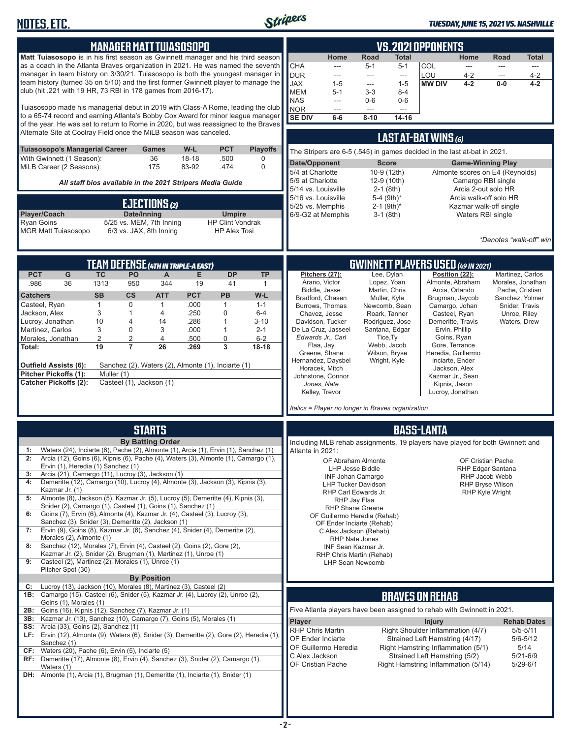

#### *TUESDAY, JUNE 15, 2021 VS. NASHVILLE*

| , <u></u>                                                                                                                                                               |              |                          |                                            |              |                                                           |                     |                                                                                                   |                                                                          |                         |                                   |                                                                     |                                     |                                                   |                                    |
|-------------------------------------------------------------------------------------------------------------------------------------------------------------------------|--------------|--------------------------|--------------------------------------------|--------------|-----------------------------------------------------------|---------------------|---------------------------------------------------------------------------------------------------|--------------------------------------------------------------------------|-------------------------|-----------------------------------|---------------------------------------------------------------------|-------------------------------------|---------------------------------------------------|------------------------------------|
|                                                                                                                                                                         |              |                          |                                            |              |                                                           |                     |                                                                                                   |                                                                          |                         |                                   |                                                                     |                                     |                                                   |                                    |
|                                                                                                                                                                         |              |                          | <b>MANAGER MATT TUIASOSOPO</b>             |              |                                                           |                     |                                                                                                   |                                                                          |                         |                                   | <b>VS. 2021 OPPONENTS</b>                                           |                                     |                                                   |                                    |
| Matt Tuiasosopo is in his first season as Gwinnett manager and his third season<br>as a coach in the Atlanta Braves organization in 2021. He was named the seventh      |              |                          |                                            |              |                                                           |                     |                                                                                                   | Home                                                                     | Road                    | Total                             |                                                                     | Home                                | Road                                              | <b>Total</b>                       |
| manager in team history on 3/30/21. Tuiasosopo is both the youngest manager in                                                                                          |              |                          |                                            |              |                                                           |                     | <b>CHA</b><br><b>DUR</b>                                                                          | $\overline{a}$                                                           | $5 - 1$                 | $5 - 1$                           | COL<br>LOU                                                          | $\frac{1}{2}$                       | $\overline{a}$                                    | $\cdots$                           |
| team history (turned 35 on 5/10) and the first former Gwinnett player to manage the                                                                                     |              |                          |                                            |              |                                                           |                     | <b>JAX</b>                                                                                        | ---<br>$1 - 5$                                                           | ---<br>---              | $\sim$<br>$1 - 5$                 | <b>MW DIV</b>                                                       | $4 - 2$<br>$4 - 2$                  | ---<br>$0-0$                                      | $4 - 2$<br>$4 - 2$                 |
| club (hit .221 with 19 HR, 73 RBI in 178 games from 2016-17).                                                                                                           |              |                          |                                            |              |                                                           |                     | <b>MEM</b>                                                                                        | $5 - 1$                                                                  | $3-3$                   | $8 - 4$                           |                                                                     |                                     |                                                   |                                    |
|                                                                                                                                                                         |              |                          |                                            |              |                                                           |                     | <b>NAS</b>                                                                                        | ---                                                                      | $0-6$                   | $0-6$                             |                                                                     |                                     |                                                   |                                    |
| Tuiasosopo made his managerial debut in 2019 with Class-A Rome, leading the club                                                                                        |              |                          |                                            |              |                                                           |                     | <b>NOR</b>                                                                                        | $\overline{a}$                                                           | $---$                   | $---$                             |                                                                     |                                     |                                                   |                                    |
| to a 65-74 record and earning Atlanta's Bobby Cox Award for minor league manager<br>of the year. He was set to return to Rome in 2020, but was reassigned to the Braves |              |                          |                                            |              |                                                           |                     | <b>SE DIV</b>                                                                                     | $6-6$                                                                    | $8 - 10$                | 14-16                             |                                                                     |                                     |                                                   |                                    |
| Alternate Site at Coolray Field once the MiLB season was canceled.                                                                                                      |              |                          |                                            |              |                                                           |                     |                                                                                                   |                                                                          |                         |                                   |                                                                     |                                     |                                                   |                                    |
|                                                                                                                                                                         |              |                          |                                            |              |                                                           |                     |                                                                                                   |                                                                          |                         |                                   | LAST AT-BAT WINS (6)                                                |                                     |                                                   |                                    |
| Tuiasosopo's Managerial Career                                                                                                                                          |              |                          | <b>Games</b>                               | W-L          | <b>PCT</b>                                                | <b>Playoffs</b>     |                                                                                                   | The Stripers are 6-5 (.545) in games decided in the last at-bat in 2021. |                         |                                   |                                                                     |                                     |                                                   |                                    |
| With Gwinnett (1 Season):                                                                                                                                               |              |                          | 36                                         | 18-18        | .500<br>.474                                              | 0<br>$\mathbf 0$    | Date/Opponent                                                                                     |                                                                          |                         | <b>Score</b>                      |                                                                     |                                     | <b>Game-Winning Play</b>                          |                                    |
| MiLB Career (2 Seasons):                                                                                                                                                |              |                          | 175                                        | 83-92        |                                                           |                     | 5/4 at Charlotte                                                                                  |                                                                          |                         | 10-9 (12th)                       |                                                                     |                                     | Almonte scores on E4 (Reynolds)                   |                                    |
|                                                                                                                                                                         |              |                          |                                            |              | All staff bios available in the 2021 Stripers Media Guide |                     | 5/9 at Charlotte                                                                                  |                                                                          |                         | 12-9 (10th)                       |                                                                     |                                     | Camargo RBI single                                |                                    |
|                                                                                                                                                                         |              |                          |                                            |              |                                                           |                     |                                                                                                   | 5/14 vs. Louisville<br>5/16 vs. Louisville                               |                         | $2-1$ (8th)<br>5-4 $(9th)^*$      |                                                                     | Arcia 2-out solo HR                 | Arcia walk-off solo HR                            |                                    |
|                                                                                                                                                                         |              |                          | EJECTIONS (2)                              |              |                                                           |                     |                                                                                                   | 5/25 vs. Memphis                                                         |                         | $2-1$ (9th)*                      |                                                                     |                                     | Kazmar walk-off single                            |                                    |
| Player/Coach                                                                                                                                                            |              | Date/Inning              |                                            |              | <b>Umpire</b>                                             |                     |                                                                                                   | 6/9-G2 at Memphis                                                        |                         | $3-1$ (8th)                       |                                                                     | Waters RBI single                   |                                                   |                                    |
| <b>Ryan Goins</b>                                                                                                                                                       |              |                          | 5/25 vs. MEM, 7th Inning                   |              | <b>HP Clint Vondrak</b>                                   |                     |                                                                                                   |                                                                          |                         |                                   |                                                                     |                                     |                                                   |                                    |
| <b>MGR Matt Tuiasosopo</b>                                                                                                                                              |              | 6/3 vs. JAX, 8th Inning  |                                            |              | <b>HP Alex Tosi</b>                                       |                     |                                                                                                   |                                                                          |                         |                                   |                                                                     |                                     |                                                   |                                    |
|                                                                                                                                                                         |              |                          |                                            |              |                                                           |                     |                                                                                                   |                                                                          |                         |                                   |                                                                     |                                     |                                                   | *Denotes "walk-off" win            |
|                                                                                                                                                                         |              |                          |                                            |              |                                                           |                     |                                                                                                   |                                                                          |                         |                                   |                                                                     |                                     |                                                   |                                    |
|                                                                                                                                                                         |              |                          | <b>TEAM DEFENSE (4TH IN TRIPLE-A EAST)</b> |              |                                                           |                     |                                                                                                   |                                                                          |                         |                                   | <b>GWINNETT PLAYERS USED (49 IN 2021)</b>                           |                                     |                                                   |                                    |
| <b>PCT</b><br>G                                                                                                                                                         | <b>TC</b>    | PO                       | A                                          | Е            | <b>DP</b>                                                 | <b>TP</b>           |                                                                                                   | Pitchers (27):                                                           |                         | Lee, Dylan                        |                                                                     | Position (22):                      |                                                   | Martinez. Carlos                   |
| .986<br>36                                                                                                                                                              | 1313         | 950                      | 344                                        | 19           | 41                                                        | $\mathbf{1}$        |                                                                                                   | Arano, Victor                                                            |                         | Lopez, Yoan                       |                                                                     | Almonte, Abraham                    |                                                   | Morales, Jonathan                  |
| <b>Catchers</b>                                                                                                                                                         | <b>SB</b>    | $\mathsf{cs}$            | <b>ATT</b>                                 | <b>PCT</b>   | <b>PB</b>                                                 | W-L                 |                                                                                                   | Biddle, Jesse<br>Bradford, Chasen                                        |                         | Martin, Chris<br>Muller, Kyle     |                                                                     | Arcia, Orlando<br>Brugman, Jaycob   |                                                   | Pache, Cristian<br>Sanchez, Yolmer |
| Casteel, Ryan                                                                                                                                                           | $\mathbf{1}$ | 0                        | 1                                          | .000         | 1                                                         | $1 - 1$             |                                                                                                   | Burrows, Thomas                                                          |                         | Newcomb, Sean                     | Camargo, Johan                                                      |                                     |                                                   | Snider, Travis                     |
| Jackson, Alex                                                                                                                                                           | 3            | $\mathbf{1}$             | $\overline{4}$                             | .250         | 0                                                         | $6-4$               |                                                                                                   | Chavez, Jesse                                                            |                         | Roark, Tanner                     |                                                                     | Casteel, Ryan                       |                                                   | Unroe, Riley                       |
| Lucroy, Jonathan<br>Martinez, Carlos                                                                                                                                    | 10<br>3      | 4<br>0                   | 14<br>3                                    | .286<br>.000 | 1<br>1                                                    | $3 - 10$<br>$2 - 1$ |                                                                                                   | Davidson, Tucker<br>De La Cruz, Jasseel                                  |                         | Rodriguez, Jose<br>Santana, Edgar |                                                                     | Demeritte, Travis<br>Ervin, Phillip |                                                   | Waters, Drew                       |
| Morales, Jonathan                                                                                                                                                       | 2            | $\overline{2}$           | $\overline{4}$                             | .500         | 0                                                         | $6 - 2$             |                                                                                                   | Edwards Jr., Carl                                                        |                         | Tice, Ty                          |                                                                     | Goins, Ryan                         |                                                   |                                    |
| Total:                                                                                                                                                                  | 19           | $\overline{7}$           | 26                                         | .269         | 3                                                         | 18-18               |                                                                                                   | Flaa, Jay                                                                |                         | Webb, Jacob                       |                                                                     | Gore, Terrance                      |                                                   |                                    |
|                                                                                                                                                                         |              |                          |                                            |              |                                                           |                     |                                                                                                   | Greene, Shane                                                            |                         | Wilson, Bryse                     | Heredia, Guillermo                                                  |                                     |                                                   |                                    |
| <b>Outfield Assists (6):</b>                                                                                                                                            |              |                          |                                            |              | Sanchez (2), Waters (2), Almonte (1), Inciarte (1)        |                     |                                                                                                   | Hernandez, Daysbel<br>Horacek, Mitch                                     |                         | Wright, Kyle                      |                                                                     | Inciarte, Ender<br>Jackson, Alex    |                                                   |                                    |
| Pitcher Pickoffs (1):                                                                                                                                                   | Muller (1)   |                          |                                            |              |                                                           |                     |                                                                                                   | Johnstone, Connor                                                        |                         |                                   |                                                                     | Kazmar Jr., Sean                    |                                                   |                                    |
| <b>Catcher Pickoffs (2):</b>                                                                                                                                            |              | Casteel (1), Jackson (1) |                                            |              |                                                           |                     |                                                                                                   | Jones, Nate                                                              |                         |                                   |                                                                     | Kipnis, Jason                       |                                                   |                                    |
|                                                                                                                                                                         |              |                          |                                            |              |                                                           |                     |                                                                                                   | Kelley, Trevor                                                           |                         |                                   |                                                                     | Lucroy, Jonathan                    |                                                   |                                    |
|                                                                                                                                                                         |              |                          |                                            |              |                                                           |                     |                                                                                                   | Italics = Player no longer in Braves organization                        |                         |                                   |                                                                     |                                     |                                                   |                                    |
|                                                                                                                                                                         |              |                          |                                            |              |                                                           |                     |                                                                                                   |                                                                          |                         |                                   |                                                                     |                                     |                                                   |                                    |
|                                                                                                                                                                         |              |                          | <b>STARTS</b>                              |              |                                                           |                     |                                                                                                   |                                                                          |                         |                                   | <b>BASS-LANTA</b>                                                   |                                     |                                                   |                                    |
|                                                                                                                                                                         |              |                          | <b>By Batting Order</b>                    |              |                                                           |                     |                                                                                                   |                                                                          |                         |                                   |                                                                     |                                     |                                                   |                                    |
| Waters (24), Inciarte (6), Pache (2), Almonte (1), Arcia (1), Ervin (1), Sanchez (1)<br>1:                                                                              |              |                          |                                            |              |                                                           |                     | Including MLB rehab assignments, 19 players have played for both Gwinnett and<br>Atlanta in 2021: |                                                                          |                         |                                   |                                                                     |                                     |                                                   |                                    |
| Arcia (12), Goins (6), Kipnis (6), Pache (4), Waters (3), Almonte (1), Camargo (1),<br>2:                                                                               |              |                          |                                            |              |                                                           |                     |                                                                                                   | OF Abraham Almonte                                                       |                         |                                   |                                                                     |                                     | OF Cristian Pache                                 |                                    |
| Ervin (1), Heredia (1) Sanchez (1)                                                                                                                                      |              |                          |                                            |              |                                                           |                     |                                                                                                   |                                                                          | LHP Jesse Biddle        |                                   |                                                                     |                                     | RHP Edgar Santana                                 |                                    |
| Arcia (21), Camargo (11), Lucroy (3), Jackson (1)<br>3:<br>Demeritte (12), Camargo (10), Lucroy (4), Almonte (3), Jackson (3), Kipnis (3),<br>4:                        |              |                          |                                            |              |                                                           |                     |                                                                                                   | INF Johan Camargo                                                        |                         |                                   |                                                                     |                                     | RHP Jacob Webb                                    |                                    |
| Kazmar Jr. (1)                                                                                                                                                          |              |                          |                                            |              |                                                           |                     |                                                                                                   | <b>LHP Tucker Davidson</b><br>RHP Carl Edwards Jr.                       |                         |                                   |                                                                     |                                     | <b>RHP Bryse Wilson</b><br><b>RHP Kyle Wright</b> |                                    |
| Almonte (8), Jackson (5), Kazmar Jr. (5), Lucroy (5), Demeritte (4), Kipnis (3),<br>5:                                                                                  |              |                          |                                            |              |                                                           |                     |                                                                                                   |                                                                          | RHP Jay Flaa            |                                   |                                                                     |                                     |                                                   |                                    |
| Snider (2), Camargo (1), Casteel (1), Goins (1), Sanchez (1)<br>Goins (7), Ervin (6), Almonte (4), Kazmar Jr. (4), Casteel (3), Lucroy (3),                             |              |                          |                                            |              |                                                           |                     |                                                                                                   |                                                                          | <b>RHP Shane Greene</b> |                                   |                                                                     |                                     |                                                   |                                    |
| 6:<br>Sanchez (3), Snider (3), Demeritte (2), Jackson (1)                                                                                                               |              |                          |                                            |              |                                                           |                     |                                                                                                   | OF Guillermo Heredia (Rehab)<br>OF Ender Inciarte (Rehab)                |                         |                                   |                                                                     |                                     |                                                   |                                    |
| Ervin (9), Goins (8), Kazmar Jr. (6), Sanchez (4), Snider (4), Demeritte (2),<br>7:                                                                                     |              |                          |                                            |              |                                                           |                     |                                                                                                   | C Alex Jackson (Rehab)                                                   |                         |                                   |                                                                     |                                     |                                                   |                                    |
| Morales (2), Almonte (1)                                                                                                                                                |              |                          |                                            |              |                                                           |                     |                                                                                                   |                                                                          | RHP Nate Jones          |                                   |                                                                     |                                     |                                                   |                                    |
| Sanchez (12), Morales (7), Ervin (4), Casteel (2), Goins (2), Gore (2),<br>8:<br>Kazmar Jr. (2), Snider (2), Brugman (1), Martinez (1), Unroe (1)                       |              |                          |                                            |              |                                                           |                     |                                                                                                   | INF Sean Kazmar Jr.                                                      |                         |                                   |                                                                     |                                     |                                                   |                                    |
| Casteel (2), Martinez (2), Morales (1), Unroe (1)<br>9:                                                                                                                 |              |                          |                                            |              |                                                           |                     |                                                                                                   | RHP Chris Martin (Rehab)<br><b>LHP Sean Newcomb</b>                      |                         |                                   |                                                                     |                                     |                                                   |                                    |
| Pitcher Spot (30)                                                                                                                                                       |              |                          |                                            |              |                                                           |                     |                                                                                                   |                                                                          |                         |                                   |                                                                     |                                     |                                                   |                                    |
|                                                                                                                                                                         |              |                          | <b>By Position</b>                         |              |                                                           |                     |                                                                                                   |                                                                          |                         |                                   |                                                                     |                                     |                                                   |                                    |
| Lucroy (13), Jackson (10), Morales (8), Martinez (3), Casteel (2)<br>C:<br>1B: Camargo (15), Casteel (6), Snider (5), Kazmar Jr. (4), Lucroy (2), Unroe (2),            |              |                          |                                            |              |                                                           |                     |                                                                                                   |                                                                          |                         |                                   |                                                                     |                                     |                                                   |                                    |
| Goins (1), Morales (1)                                                                                                                                                  |              |                          |                                            |              |                                                           |                     |                                                                                                   |                                                                          |                         |                                   | <b>BRAVES ON REHAB</b>                                              |                                     |                                                   |                                    |
| Goins (16), Kipnis (12), Sanchez (7), Kazmar Jr. (1)<br>2B:                                                                                                             |              |                          |                                            |              |                                                           |                     |                                                                                                   | Five Atlanta players have been assigned to rehab with Gwinnett in 2021.  |                         |                                   |                                                                     |                                     |                                                   |                                    |
| Kazmar Jr. (13), Sanchez (10), Camargo (7), Goins (5), Morales (1)<br>3B:                                                                                               |              |                          |                                            |              |                                                           |                     | <b>Player</b>                                                                                     |                                                                          |                         |                                   | <b>Injury</b>                                                       |                                     |                                                   | <b>Rehab Dates</b>                 |
| Arcia (33), Goins (2), Sanchez (1)<br>SS:<br>LF: Ervin (12), Almonte (9), Waters (6), Snider (3), Demeritte (2), Gore (2), Heredia (1),                                 |              |                          |                                            |              |                                                           |                     |                                                                                                   | <b>RHP Chris Martin</b>                                                  |                         |                                   | Right Shoulder Inflammation (4/7)                                   |                                     |                                                   | $5/5 - 5/11$                       |
| Sanchez (1)                                                                                                                                                             |              |                          |                                            |              |                                                           |                     |                                                                                                   | OF Ender Inciarte                                                        |                         |                                   | Strained Left Hamstring (4/17)                                      |                                     |                                                   | $5/6 - 5/12$                       |
| CF:<br>Waters (20), Pache (6), Ervin (5), Inciarte (5)                                                                                                                  |              |                          |                                            |              |                                                           |                     | C Alex Jackson                                                                                    | OF Guillermo Heredia                                                     |                         |                                   | Right Hamstring Inflammation (5/1)<br>Strained Left Hamstring (5/2) |                                     |                                                   | 5/14<br>$5/21 - 6/9$               |
| RF: Demeritte (17), Almonte (8), Ervin (4), Sanchez (3), Snider (2), Camargo (1),                                                                                       |              |                          |                                            |              |                                                           |                     |                                                                                                   | OF Cristian Pache                                                        |                         |                                   | Right Hamstring Inflammation (5/14)                                 |                                     |                                                   | $5/29 - 6/1$                       |
| Waters (1)<br><b>DH:</b> Almonte (1), Arcia (1), Brugman (1), Demeritte (1), Inciarte (1), Snider (1)                                                                   |              |                          |                                            |              |                                                           |                     |                                                                                                   |                                                                          |                         |                                   |                                                                     |                                     |                                                   |                                    |
|                                                                                                                                                                         |              |                          |                                            |              |                                                           |                     |                                                                                                   |                                                                          |                         |                                   |                                                                     |                                     |                                                   |                                    |
|                                                                                                                                                                         |              |                          |                                            |              |                                                           |                     |                                                                                                   |                                                                          |                         |                                   |                                                                     |                                     |                                                   |                                    |
|                                                                                                                                                                         |              |                          |                                            |              |                                                           |                     |                                                                                                   |                                                                          |                         |                                   |                                                                     |                                     |                                                   |                                    |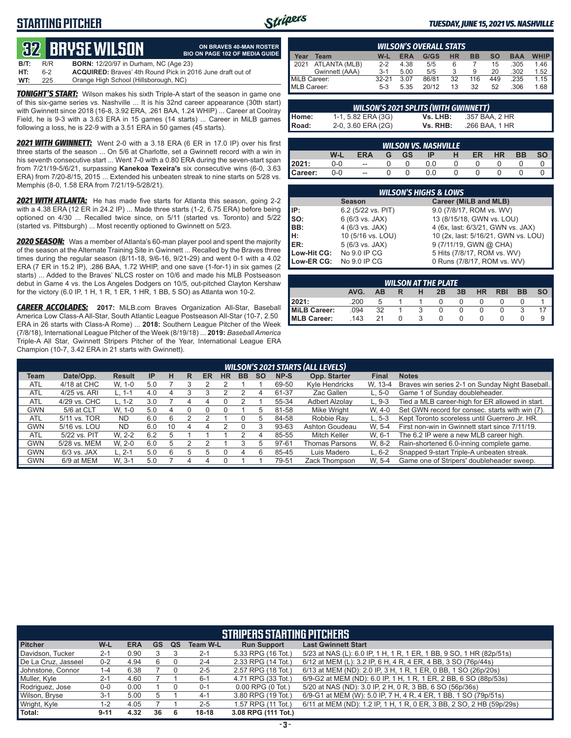# **STARTING PITCHER**



**ON BRAVES 40-MAN ROSTER**

#### *TUESDAY, JUNE 15, 2021 VS. NASHVILLE*

# **32****BRYSE WILSON**

|      |     | tys diu ol Wiloch                                                 | <b>BIO ON PAGE 102 OF MEDIA GUIDE</b> |
|------|-----|-------------------------------------------------------------------|---------------------------------------|
| B/T: | R/R | <b>BORN:</b> 12/20/97 in Durham, NC (Age 23)                      |                                       |
| HT:  | 6-2 | <b>ACQUIRED:</b> Braves' 4th Round Pick in 2016 June draft out of |                                       |
| WT:  | 225 | Orange High School (Hillsborough, NC)                             |                                       |

**TONIGHT'S START:** Wilson makes his sixth Triple-A start of the season in game one of this six-game series vs. Nashville ... It is his 32nd career appearance (30th start) with Gwinnett since 2018 (16-8, 3.92 ERA, .261 BAA, 1.24 WHIP) ... Career at Coolray Field, he is 9-3 with a 3.63 ERA in 15 games (14 starts) ... Career in MiLB games following a loss, he is 22-9 with a 3.51 ERA in 50 games (45 starts).

*2021 WITH GWINNETT:* Went 2-0 with a 3.18 ERA (6 ER in 17.0 IP) over his first three starts of the season ... On 5/6 at Charlotte, set a Gwinnett record with a win in his seventh consecutive start ... Went 7-0 with a 0.80 ERA during the seven-start span from 7/21/19-5/6/21, surpassing **Kanekoa Texeira's** six consecutive wins (6-0, 3.63 ERA) from 7/20-8/15, 2015 ... Extended his unbeaten streak to nine starts on 5/28 vs. Memphis (8-0, 1.58 ERA from 7/21/19-5/28/21).

*2021 WITH ATLANTA:* He has made five starts for Atlanta this season, going 2-2 with a 4.38 ERA (12 ER in 24.2 IP) ... Made three starts (1-2, 6.75 ERA) before being optioned on 4/30 ... Recalled twice since, on 5/11 (started vs. Toronto) and 5/22 (started vs. Pittsburgh) ... Most recently optioned to Gwinnett on 5/23.

*2020 SEASON:* Was a member of Atlanta's 60-man player pool and spent the majority of the season at the Alternate Training Site in Gwinnett ... Recalled by the Braves three times during the regular season (8/11-18, 9/6-16, 9/21-29) and went 0-1 with a 4.02 ERA (7 ER in 15.2 IP), .286 BAA, 1.72 WHIP, and one save (1-for-1) in six games (2 starts) ... Added to the Braves' NLCS roster on 10/6 and made his MLB Postseason debut in Game 4 vs. the Los Angeles Dodgers on 10/5, out-pitched Clayton Kershaw for the victory (6.0 IP, 1 H, 1 R, 1 ER, 1 HR, 1 BB, 5 SO) as Atlanta won 10-2.

*CAREER ACCOLADES:* **2017:** MiLB.com Braves Organization All-Star, Baseball America Low Class-A All-Star, South Atlantic League Postseason All-Star (10-7, 2.50 ERA in 26 starts with Class-A Rome) ... **2018:** Southern League Pitcher of the Week (7/8/18), International League Pitcher of the Week (8/19/18) ... **2019:** *Baseball America*  Triple-A All Star, Gwinnett Stripers Pitcher of the Year, International League ERA Champion (10-7, 3.42 ERA in 21 starts with Gwinnett).

|                     |                |         |            | <b>WILSON'S OVERALL STATS</b> |           |           |           |            |             |
|---------------------|----------------|---------|------------|-------------------------------|-----------|-----------|-----------|------------|-------------|
| Year                | Team           | W-L     | <b>ERA</b> | G/GS                          | <b>HR</b> | <b>BB</b> | <b>SO</b> | <b>BAA</b> | <b>WHIP</b> |
| $\blacksquare$ 2021 | ATLANTA (MLB)  | $2-2$   | 4.38       | 5/5                           |           |           | 15        | .305       | 1.46        |
|                     | Gwinnett (AAA) | $3-1$   | 5.00       | 5/5                           |           | 9         | 20        | .302       | 1.52        |
| MiLB Career:        |                | $32-21$ | 3.07       | 86/81                         | 32        | 116       | 449       | .235       | 1.15        |
| MLB Career:         |                | $5-3$   | 5.35       | 20/12                         | 13        | 32        | 52        | .306       | 1.68        |

| <b>WILSON'S 2021 SPLITS (WITH GWINNETT)</b> |                    |          |                |  |  |  |  |  |  |  |
|---------------------------------------------|--------------------|----------|----------------|--|--|--|--|--|--|--|
| Home:                                       | 1-1, 5.82 ERA (3G) | Vs. LHB: | .357 BAA. 2 HR |  |  |  |  |  |  |  |
| I Road:                                     | 2-0, 3.60 ERA (2G) | Vs. RHB: | .266 BAA. 1 HR |  |  |  |  |  |  |  |

|         |     |                          |   |           | <b>WILSON VS. NASHVILLE</b> |    |           |    |  |
|---------|-----|--------------------------|---|-----------|-----------------------------|----|-----------|----|--|
|         | W-l | <b>ERA</b>               | G | <b>GS</b> | IP                          | ER | <b>HR</b> | ВB |  |
| 12021:  | 0-0 | $\hspace{0.05cm} \cdots$ |   |           |                             |    |           |    |  |
| Career: | 0-0 | $\overline{a}$           |   |           |                             |    |           |    |  |

|                 | <b>WILSON'S HIGHS &amp; LOWS</b> |                                     |  |  |  |  |  |  |  |  |  |
|-----------------|----------------------------------|-------------------------------------|--|--|--|--|--|--|--|--|--|
|                 | <b>Season</b>                    | Career (MiLB and MLB)               |  |  |  |  |  |  |  |  |  |
| IP:             | 6.2 (5/22 vs. PIT)               | 9.0 (7/8/17, ROM vs. WV)            |  |  |  |  |  |  |  |  |  |
| $\mathsf{Iso}:$ | 6 (6/3 vs. JAX)                  | 13 (8/15/18, GWN vs. LOU)           |  |  |  |  |  |  |  |  |  |
| BB:             | 4 (6/3 vs. JAX)                  | 4 (6x, last: 6/3/21, GWN vs. JAX)   |  |  |  |  |  |  |  |  |  |
| Iн:             | 10 (5/16 vs. LOU)                | 10 (2x, last: 5/16/21, GWN vs. LOU) |  |  |  |  |  |  |  |  |  |
| <b>IER:</b>     | 5 (6/3 vs. JAX)                  | 9 (7/11/19, GWN @ CHA)              |  |  |  |  |  |  |  |  |  |
| Low-Hit CG:     | No 9.0 IP CG                     | 5 Hits (7/8/17, ROM vs. WV)         |  |  |  |  |  |  |  |  |  |
| Low-ER CG:      | No 9.0 IP CG                     | 0 Runs (7/8/17, ROM vs. WV)         |  |  |  |  |  |  |  |  |  |

| <b>WILSON AT THE PLATE</b> |      |    |  |  |    |    |           |            |           |  |
|----------------------------|------|----|--|--|----|----|-----------|------------|-----------|--|
|                            | AVG. | AB |  |  | 2B | 3B | <b>HR</b> | <b>RBI</b> | <b>BB</b> |  |
| 12021:                     | .200 |    |  |  |    |    |           |            |           |  |
| MiLB Career:               | .094 | 32 |  |  |    |    |           |            |           |  |
| MLB Career:                | .143 | 21 |  |  |    |    |           |            |           |  |

|            | <b>WILSON'S 2021 STARTS (ALL LEVELS)</b> |               |           |    |    |    |           |              |           |       |                       |              |                                                 |
|------------|------------------------------------------|---------------|-----------|----|----|----|-----------|--------------|-----------|-------|-----------------------|--------------|-------------------------------------------------|
| Team       | Date/Opp.                                | <b>Result</b> | <b>IP</b> | н  | R  | ER | <b>HR</b> | <b>BB</b>    | <b>SO</b> | NP-S  | Opp. Starter          | <b>Final</b> | <b>Notes</b>                                    |
| <b>ATL</b> | 4/18 at CHC                              | W. 1-0        | 5.0       |    |    |    |           |              |           | 69-50 | Kyle Hendricks        | W. 13-4      | Braves win series 2-1 on Sunday Night Baseball. |
| <b>ATL</b> | 4/25 vs. ARI                             | L. 1-1        | 4.0       |    |    |    |           |              |           | 61-37 | Zac Gallen            | $L.5-0$      | Game 1 of Sunday doubleheader.                  |
| <b>ATL</b> | 4/29 vs. CHC                             | L. 1-2        | 3.0       |    | 4  | 4  |           |              |           | 55-34 | <b>Adbert Alzolav</b> | $L.9-3$      | Tied a MLB career-high for ER allowed in start. |
| <b>GWN</b> | 5/6 at CLT                               | W. 1-0        | 5.0       | 4  | Ω  | 0  |           |              | h         | 81-58 | Mike Wright           | W. 4-0       | Set GWN record for consec. starts with win (7). |
| <b>ATL</b> | 5/11 vs. TOR                             | <b>ND</b>     | 6.0       | 6  |    |    |           |              | ٠h        | 84-58 | Robbie Rav            | $L.5-3$      | Kept Toronto scoreless until Guerrero Jr. HR.   |
| <b>GWN</b> | 5/16 vs. LOU                             | <b>ND</b>     | 6.0       | 10 | 4  | 4  |           | $\mathbf{I}$ |           | 93-63 | Ashton Goudeau        | W. 5-4       | First non-win in Gwinnett start since 7/11/19.  |
| <b>ATL</b> | 5/22 vs. PIT                             | W. 2-2        | 6.2       | .h |    |    |           |              | 4         | 85-55 | Mitch Keller          | W. 6-1       | The 6.2 IP were a new MLB career high.          |
| <b>GWN</b> | 5/28 vs. MEM                             | W. 2-0        | 6.0       | .h |    |    |           |              |           | 97-61 | Thomas Parsons        | W. 8-2       | Rain-shortened 6.0-inning complete game.        |
| <b>GWN</b> | $6/3$ vs. JAX                            | L. 2-1        | 5.0       | 6  | :5 |    |           | 4            | 6         | 85-45 | Luis Madero           | $L.6-2$      | Snapped 9-start Triple-A unbeaten streak.       |
| <b>GWN</b> | 6/9 at MEM                               | W. 3-1        | 5.0       |    |    |    |           |              |           | 79-51 | Zack Thompson         | W. 5-4       | Game one of Stripers' doubleheader sweep.       |

|                     | <b>STRIPERS STARTING PITCHERS</b> |            |           |           |                 |                       |                                                                      |  |  |  |  |
|---------------------|-----------------------------------|------------|-----------|-----------|-----------------|-----------------------|----------------------------------------------------------------------|--|--|--|--|
| <b>Pitcher</b>      | W-L                               | <b>ERA</b> | <b>GS</b> | <b>QS</b> | <b>Team W-L</b> | <b>Run Support</b>    | <b>Last Gwinnett Start</b>                                           |  |  |  |  |
| Davidson, Tucker    | $2 - 1$                           | 0.90       |           |           | $2 - 1$         | 5.33 RPG (16 Tot.)    | 5/23 at NAS (L): 6.0 IP, 1 H, 1 R, 1 ER, 1 BB, 9 SO, 1 HR (82p/51s)  |  |  |  |  |
| De La Cruz, Jasseel | $0 - 2$                           | 4.94       | 6         |           | $2 - 4$         | 2.33 RPG (14 Tot.)    | 6/12 at MEM (L): 3.2 IP, 6 H, 4 R, 4 ER, 4 BB, 3 SO (76p/44s)        |  |  |  |  |
| Johnstone, Connor   | 1-4                               | 6.38       |           |           | $2 - 5$         | 2.57 RPG (18 Tot.)    | 6/13 at MEM (ND): 2.0 IP, 3 H, 1 R, 1 ER, 0 BB, 1 SO (26p/20s)       |  |  |  |  |
| Muller, Kyle        | $2 - 1$                           | 4.60       |           |           | $6 - 1$         | 4.71 RPG (33 Tot.)    | 6/9-G2 at MEM (ND): 6.0 IP, 1 H, 1 R, 1 ER, 2 BB, 6 SO (88p/53s)     |  |  |  |  |
| Rodriguez, Jose     | $0-0$                             | 0.00       |           |           | $0 - 1$         | $0.00$ RPG $(0$ Tot.) | 5/20 at NAS (ND): 3.0 IP, 2 H, 0 R, 3 BB, 6 SO (56p/36s)             |  |  |  |  |
| Wilson, Bryse       | $3-1$                             | 5.00       |           |           | $4 - 1$         | 3.80 RPG (19 Tot.)    | 6/9-G1 at MEM (W): 5.0 IP, 7 H, 4 R, 4 ER, 1 BB, 1 SO (79p/51s)      |  |  |  |  |
| Wright, Kyle        | 1-2                               | 4.05       |           |           | $2 - 5$         | 1.57 RPG (11 Tot.)    | 6/11 at MEM (ND): 1.2 IP, 1 H, 1 R, 0 ER, 3 BB, 2 SO, 2 HB (59p/29s) |  |  |  |  |
| Total:              | $9 - 11$                          | 4.32       | 36        | 6         | $18-18$         | 3.08 RPG (111 Tot.)   |                                                                      |  |  |  |  |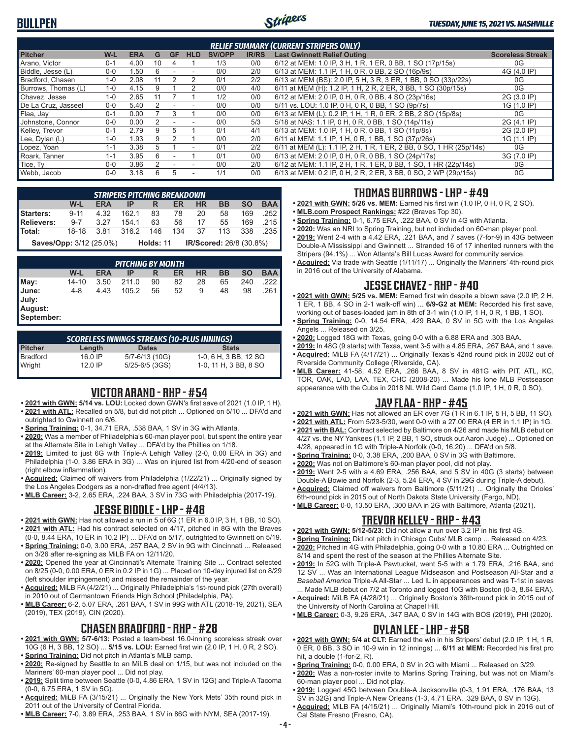# **BULLPEN**



| <b>RELIEF SUMMARY (CURRENT STRIPERS ONLY)</b> |         |      |    |           |               |               |              |                                                                     |                         |
|-----------------------------------------------|---------|------|----|-----------|---------------|---------------|--------------|---------------------------------------------------------------------|-------------------------|
| <b>Pitcher</b>                                | W-L     | ERA  | G  | <b>GF</b> | <b>HLD</b>    | <b>SV/OPP</b> | <b>IR/RS</b> | <b>Last Gwinnett Relief Outing</b>                                  | <b>Scoreless Streak</b> |
| Arano. Victor                                 | $0 - 1$ | 4.00 | 10 | 4         |               | 1/3           | 0/0          | 6/12 at MEM: 1.0 IP, 3 H, 1 R, 1 ER, 0 BB, 1 SO (17p/15s)           | 0G                      |
| Biddle, Jesse (L)                             | $0 - 0$ | .50  | 6  |           |               | 0/0           | 2/0          | 6/13 at MEM: 1.1 IP, 1 H, 0 R, 0 BB, 2 SO (16p/9s)                  | 4G (4.0 IP)             |
| Bradford, Chasen                              | $1 - 0$ | 2.08 |    |           | $\mathcal{P}$ | 0/1           | 2/2          | 6/13 at MEM (BS): 2.0 IP, 5 H, 3 R, 3 ER, 1 BB, 0 SO (33p/22s)      | 0G                      |
| Burrows, Thomas (L)                           | $1 - 0$ | 4.15 |    |           |               | 0/0           | 4/0          | 6/11 at MEM (H): 1.2 IP, 1 H, 2 R, 2 ER, 3 BB, 1 SO (30p/15s)       | 0G                      |
| Chavez. Jesse                                 | $1 - 0$ | 2.65 |    |           |               | 1/2           | 0/0          | 6/12 at MEM: 2.0 IP, 0 H, 0 R, 0 BB, 4 SO (23p/16s)                 | 2G (3.0 IP)             |
| De La Cruz. Jasseel                           | $0 - 0$ | 5.40 |    |           |               | 0/0           | 0/0          | 5/11 vs. LOU: 1.0 IP, 0 H, 0 R, 0 BB, 1 SO (9p/7s)                  | 1G (1.0 IP)             |
| Flaa, Jay                                     | $0 - 1$ | 0.00 |    | 3         |               | 0/0           | 0/0          | 6/13 at MEM (L): 0.2 IP, 1 H, 1 R, 0 ER, 2 BB, 2 SO (15p/8s)        | 0G                      |
| Johnstone, Connor                             | $0 - 0$ | 0.00 |    |           |               | 0/0           | 5/3          | 5/18 at NAS: 1.1 IP, 0 H, 0 R, 0 BB, 1 SO (14p/11s)                 | 2G (4.1 IP)             |
| Kelley, Trevor                                | $0 - 1$ | 2.79 |    | 5         |               | 0/1           | 4/1          | 6/13 at MEM: 1.0 IP, 1 H, 0 R, 0 BB, 1 SO (11p/8s)                  | 2G (2.0 IP)             |
| Lee, Dylan (L)                                | $1 - 0$ | 1.93 | 9  |           |               | 0/0           | 2/0          | 6/11 at MEM: 1.1 IP, 1 H, 0 R, 1 BB, 1 SO (37p/26s)                 | 1G (1.1 IP)             |
| Lopez, Yoan                                   | $1 - 1$ | 3.38 | 5  |           | ٠             | 0/1           | 2/2          | 6/11 at MEM (L): 1.1 IP, 2 H, 1 R, 1 ER, 2 BB, 0 SO, 1 HR (25p/14s) | 0G                      |
| Roark. Tanner                                 | $1 - 1$ | 3.95 | հ  |           |               | 0/1           | 0/0          | 6/13 at MEM: 2.0 IP, 0 H, 0 R, 0 BB, 1 SO (24p/17s)                 | 3G (7.0 IP)             |
| Tice, Ty                                      | $0 - 0$ | 3.86 |    |           |               | 0/0           | 2/0          | 6/12 at MEM: 1.1 IP, 2 H, 1 R, 1 ER, 0 BB, 1 SO, 1 HR (22p/14s)     | 0G                      |
| Webb, Jacob                                   | $0 - 0$ | 3.18 | 6  | 5         | ٠             | 1/1           | 0/0          | 6/13 at MEM: 0.2 IP, 0 H, 2 R, 2 ER, 3 BB, 0 SO, 2 WP (29p/15s)     | 0G                      |

|                         | <b>STRIPERS PITCHING BREAKDOWN</b>                       |            |      |                  |     |                         |           |           |            |  |
|-------------------------|----------------------------------------------------------|------------|------|------------------|-----|-------------------------|-----------|-----------|------------|--|
|                         | W-L                                                      | <b>ERA</b> | IP - | <b>R</b>         | ER. | <b>HR</b>               | <b>BB</b> | <b>SO</b> | <b>BAA</b> |  |
| <b>Starters:</b>        | 9-11 4.32 162.1 83 78 20                                 |            |      |                  |     |                         | 58        | 169       | .252       |  |
| <b>Relievers:</b>       | 9-7 3.27 154.1 63                                        |            |      |                  |     | 56 17 55 169 215        |           |           |            |  |
| Total:                  | 18-18   3.81   316.2   146   134   37   113   338   .235 |            |      |                  |     |                         |           |           |            |  |
| Saves/Opp: 3/12 (25.0%) |                                                          |            |      | <b>Holds: 11</b> |     | IR/Scored: 26/8 (30.8%) |           |           |            |  |

|                                         |         |            | <b>PITCHING BY MONTH</b> |    |    |           |    |           |            |
|-----------------------------------------|---------|------------|--------------------------|----|----|-----------|----|-----------|------------|
|                                         | W-L     | <b>ERA</b> | IP                       | R  | ER | <b>HR</b> | BB | <b>SO</b> | <b>BAA</b> |
| May:                                    | 14-10   | 3.50       | 211.0                    | 90 | 82 | 28        | 65 | 240       | 222        |
| June:<br>July:<br>August:<br>September: | $4 - 8$ | 4.43       | 105.2                    | 56 | 52 | 9         | 48 | 98        | .261       |

| <b>SCORELESS INNINGS STREAKS (10-PLUS INNINGS)</b> |           |                    |                       |  |  |  |  |  |  |  |
|----------------------------------------------------|-----------|--------------------|-----------------------|--|--|--|--|--|--|--|
| <b>Pitcher</b>                                     | Length    | <b>Dates</b>       | <b>Stats</b>          |  |  |  |  |  |  |  |
| Bradford                                           | 16.0 IP   | 5/7-6/13 (10G)     | 1-0, 6 H, 3 BB, 12 SO |  |  |  |  |  |  |  |
| Wright                                             | $12.0$ IP | $5/25 - 6/5$ (3GS) | 1-0, 11 H, 3 BB, 8 SO |  |  |  |  |  |  |  |

# **VICTOR ARANO - RHP - #54**

- **• 2021 with GWN: 5/14 vs. LOU:** Locked down GWN's first save of 2021 (1.0 IP, 1 H). **• 2021 with ATL:** Recalled on 5/8, but did not pitch ... Optioned on 5/10 ... DFA'd and outrighted to Gwinnett on 6/6.
- **• Spring Training:** 0-1, 34.71 ERA, .538 BAA, 1 SV in 3G with Atlanta.
- **• 2020:** Was a member of Philadelphia's 60-man player pool, but spent the entire year at the Alternate Site in Lehigh Valley ... DFA'd by the Phillies on 1/18.
- **• 2019:** Limited to just 6G with Triple-A Lehigh Valley (2-0, 0.00 ERA in 3G) and Philadelphia (1-0, 3.86 ERA in 3G) ... Was on injured list from 4/20-end of season (right elbow inflammation).
- **• Acquired:** Claimed off waivers from Philadelphia (1/22/21) ... Originally signed by the Los Angeles Dodgers as a non-drafted free agent (4/4/13).
- **• MLB Career:** 3-2, 2.65 ERA, .224 BAA, 3 SV in 73G with Philadelphia (2017-19).

#### **JESSE BIDDLE - LHP - #48**

- **• 2021 with GWN:** Has not allowed a run in 5 of 6G (1 ER in 6.0 IP, 3 H, 1 BB, 10 SO). **• 2021 with ATL:** Had his contract selected on 4/17, pitched in 8G with the Braves
- (0-0, 8.44 ERA, 10 ER in 10.2 IP) ... DFA'd on 5/17, outrighted to Gwinnett on 5/19. **• Spring Training:** 0-0, 3.00 ERA, .257 BAA, 2 SV in 9G with Cincinnati ... Released on 3/26 after re-signing as MiLB FA on 12/11/20.
- **• 2020:** Opened the year at Cincinnati's Alternate Training Site ... Contract selected on 8/25 (0-0, 0.00 ERA, 0 ER in 0.2 IP in 1G) ... Placed on 10-day injured list on 8/29 (left shoulder impingement) and missed the remainder of the year.
- **• Acquired:** MiLB FA (4/2/21) ... Originally Philadelphia's 1st-round pick (27th overall) in 2010 out of Germantown Friends High School (Philadelphia, PA).
- **• MLB Career:** 6-2, 5.07 ERA, .261 BAA, 1 SV in 99G with ATL (2018-19, 2021), SEA (2019), TEX (2019), CIN (2020).

#### **CHASEN BRADFORD - RHP - #28**

- **• 2021 with GWN: 5/7-6/13:** Posted a team-best 16.0-inning scoreless streak over 10G (6 H, 3 BB, 12 SO) ... **5/15 vs. LOU:** Earned first win (2.0 IP, 1 H, 0 R, 2 SO). **• Spring Training:** Did not pitch in Atlanta's MLB camp.
- **• 2020:** Re-signed by Seattle to an MiLB deal on 1/15, but was not included on the Mariners' 60-man player pool ... Did not play.
- **• 2019:** Split time between Seattle (0-0, 4.86 ERA, 1 SV in 12G) and Triple-A Tacoma (0-0, 6.75 ERA, 1 SV in 5G).
- **• Acquired:** MiLB FA (3/15/21) ... Originally the New York Mets' 35th round pick in 2011 out of the University of Central Florida.
- **• MLB Career:** 7-0, 3.89 ERA, .253 BAA, 1 SV in 86G with NYM, SEA (2017-19).

# **THOMAS BURROWS - LHP - #49**

- **• 2021 with GWN: 5/26 vs. MEM:** Earned his first win (1.0 IP, 0 H, 0 R, 2 SO).
- **• MLB.com Prospect Rankings:** #22 (Braves Top 30).
- **• Spring Training:** 0-1, 6.75 ERA, .222 BAA, 0 SV in 4G with Atlanta.
- **• 2020:** Was an NRI to Spring Training, but not included on 60-man player pool. **• 2019:** Went 2-4 with a 4.42 ERA, .221 BAA, and 7 saves (7-for-9) in 43G between Double-A Mississippi and Gwinnett ... Stranded 16 of 17 inherited runners with the Stripers (94.1%) ... Won Atlanta's Bill Lucas Award for community service.
- **• Acquired:** Via trade with Seattle (1/11/17) ... Originally the Mariners' 4th-round pick in 2016 out of the University of Alabama.

# **JESSE CHAVEZ - RHP - #40**

- **• 2021 with GWN: 5/25 vs. MEM:** Earned first win despite a blown save (2.0 IP, 2 H, 1 ER, 1 BB, 4 SO in 2-1 walk-off win) ... **6/9-G2 at MEM:** Recorded his first save, working out of bases-loaded jam in 8th of 3-1 win (1.0 IP, 1 H, 0 R, 1 BB, 1 SO).
- **• Spring Training:** 0-0, 14.54 ERA, .429 BAA, 0 SV in 5G with the Los Angeles Angels ... Released on 3/25.
- **• 2020:** Logged 18G with Texas, going 0-0 with a 6.88 ERA and .303 BAA.
- **• 2019:** In 48G (9 starts) with Texas, went 3-5 with a 4.85 ERA, .267 BAA, and 1 save. **• Acquired:** MiLB FA (4/17/21) ... Originally Texas's 42nd round pick in 2002 out of
- Riverside Community College (Riverside, CA). **• MLB Career:** 41-58, 4.52 ERA, .266 BAA, 8 SV in 481G with PIT, ATL, KC, TOR, OAK, LAD, LAA, TEX, CHC (2008-20) ... Made his lone MLB Postseason appearance with the Cubs in 2018 NL Wild Card Game (1.0 IP, 1 H, 0 R, 0 SO).

### **JAY FLAA - RHP - #45**

- **• 2021 with GWN:** Has not allowed an ER over 7G (1 R in 6.1 IP, 5 H, 5 BB, 11 SO).
- **• 2021 with ATL:** From 5/23-5/30, went 0-0 with a 27.00 ERA (4 ER in 1.1 IP) in 1G.
- **• 2021 with BAL:** Contract selected by Baltimore on 4/26 and made his MLB debut on 4/27 vs. the NY Yankees (1.1 IP, 2 BB, 1 SO, struck out Aaron Judge) ... Optioned on 4/28, appeared in 1G with Triple-A Norfolk (0-0, 16.20) ... DFA'd on 5/8.
- **• Spring Training:** 0-0, 3.38 ERA, .200 BAA, 0 SV in 3G with Baltimore.
- **• 2020:** Was not on Baltimore's 60-man player pool, did not play.
- **• 2019:** Went 2-5 with a 4.69 ERA, .256 BAA, and 5 SV in 40G (3 starts) between Double-A Bowie and Norfolk (2-3, 5.24 ERA, 4 SV in 29G during Triple-A debut).
- **• Acquired:** Claimed off waivers from Baltimore (5/11/21) ... Originally the Orioles' 6th-round pick in 2015 out of North Dakota State University (Fargo, ND).
- **• MLB Career:** 0-0, 13.50 ERA, .300 BAA in 2G with Baltimore, Atlanta (2021).

#### **TREVOR KELLEY - RHP - #43**

- **• 2021 with GWN: 5/12-5/23:** Did not allow a run over 3.2 IP in his first 4G.
- **• Spring Training:** Did not pitch in Chicago Cubs' MLB camp ... Released on 4/23.
- **• 2020:** Pitched in 4G with Philadelphia, going 0-0 with a 10.80 ERA ... Outrighted on 8/14 and spent the rest of the season at the Phillies Alternate Site.
- **• 2019:** In 52G with Triple-A Pawtucket, went 5-5 with a 1.79 ERA, .216 BAA, and 12 SV ... Was an International League Midseason and Postseason All-Star and a *Baseball America* Triple-A All-Star ... Led IL in appearances and was T-1st in saves ... Made MLB debut on 7/2 at Toronto and logged 10G with Boston (0-3, 8.64 ERA).
- **• Acquired:** MiLB FA (4/28/21) ... Originally Boston's 36th-round pick in 2015 out of the University of North Carolina at Chapel Hill.
- **• MLB Career:** 0-3, 9.26 ERA, .347 BAA, 0 SV in 14G with BOS (2019), PHI (2020).

### **DYLAN LEE - LHP - #58**

- **• 2021 with GWN: 5/4 at CLT:** Earned the win in his Stripers' debut (2.0 IP, 1 H, 1 R, 0 ER, 0 BB, 3 SO in 10-9 win in 12 innings) ... **6/11 at MEM:** Recorded his first pro hit, a double (1-for-2, R).
- **• Spring Training:** 0-0, 0.00 ERA, 0 SV in 2G with Miami ... Released on 3/29.
- **• 2020:** Was a non-roster invite to Marlins Spring Training, but was not on Miami's 60-man player pool ... Did not play.
- **• 2019:** Logged 45G between Double-A Jacksonville (0-3, 1.91 ERA, .176 BAA, 13 SV in 32G) and Triple-A New Orleans (1-3, 4.71 ERA, .329 BAA, 0 SV in 13G).
- **• Acquired:** MiLB FA (4/15/21) ... Originally Miami's 10th-round pick in 2016 out of Cal State Fresno (Fresno, CA).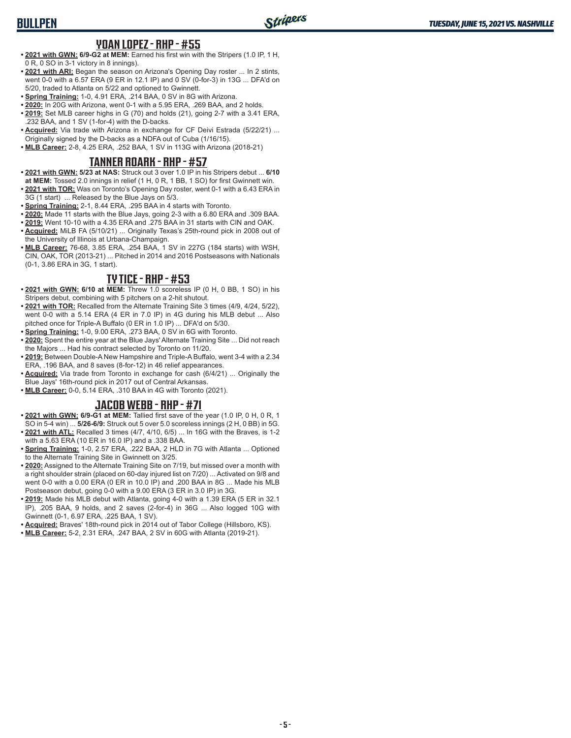# **BULLPEN**

#### **YOAN LOPEZ - RHP - #55**

- **• 2021 with GWN: 6/9-G2 at MEM:** Earned his first win with the Stripers (1.0 IP, 1 H, 0 R, 0 SO in 3-1 victory in 8 innings).
- **• 2021 with ARI:** Began the season on Arizona's Opening Day roster ... In 2 stints, went 0-0 with a 6.57 ERA (9 ER in 12.1 IP) and 0 SV (0-for-3) in 13G ... DFA'd on 5/20, traded to Atlanta on 5/22 and optioned to Gwinnett.
- **• Spring Training:** 1-0, 4.91 ERA, .214 BAA, 0 SV in 8G with Arizona.
- **• 2020:** In 20G with Arizona, went 0-1 with a 5.95 ERA, .269 BAA, and 2 holds.
- **• 2019:** Set MLB career highs in G (70) and holds (21), going 2-7 with a 3.41 ERA, .232 BAA, and 1 SV (1-for-4) with the D-backs.
- **• Acquired:** Via trade with Arizona in exchange for CF Deivi Estrada (5/22/21) ... Originally signed by the D-backs as a NDFA out of Cuba (1/16/15).
- **• MLB Career:** 2-8, 4.25 ERA, .252 BAA, 1 SV in 113G with Arizona (2018-21)

### **TANNER ROARK - RHP - #57**

- **• 2021 with GWN: 5/23 at NAS:** Struck out 3 over 1.0 IP in his Stripers debut ... **6/10**
- **at MEM:** Tossed 2.0 innings in relief (1 H, 0 R, 1 BB, 1 SO) for first Gwinnett win. **• 2021 with TOR:** Was on Toronto's Opening Day roster, went 0-1 with a 6.43 ERA in
- 3G (1 start) ... Released by the Blue Jays on 5/3.
- **• Spring Training:** 2-1, 8.44 ERA, .295 BAA in 4 starts with Toronto.
- **• 2020:** Made 11 starts with the Blue Jays, going 2-3 with a 6.80 ERA and .309 BAA. **• 2019:** Went 10-10 with a 4.35 ERA and .275 BAA in 31 starts with CIN and OAK.
- **• Acquired:** MiLB FA (5/10/21) ... Originally Texas's 25th-round pick in 2008 out of the University of Illinois at Urbana-Champaign.
- **• MLB Career:** 76-68, 3.85 ERA, .254 BAA, 1 SV in 227G (184 starts) with WSH, CIN, OAK, TOR (2013-21) ... Pitched in 2014 and 2016 Postseasons with Nationals (0-1, 3.86 ERA in 3G, 1 start).

#### **TY TICE - RHP - #53**

- **• 2021 with GWN: 6/10 at MEM:** Threw 1.0 scoreless IP (0 H, 0 BB, 1 SO) in his Stripers debut, combining with 5 pitchers on a 2-hit shutout.
- **• 2021 with TOR:** Recalled from the Alternate Training Site 3 times (4/9, 4/24, 5/22), went 0-0 with a 5.14 ERA (4 ER in 7.0 IP) in 4G during his MLB debut ... Also pitched once for Triple-A Buffalo (0 ER in 1.0 IP) ... DFA'd on 5/30.
- **• Spring Training:** 1-0, 9.00 ERA, .273 BAA, 0 SV in 6G with Toronto.
- **• 2020:** Spent the entire year at the Blue Jays' Alternate Training Site ... Did not reach the Majors ... Had his contract selected by Toronto on 11/20.
- **• 2019:** Between Double-A New Hampshire and Triple-A Buffalo, went 3-4 with a 2.34 ERA, .196 BAA, and 8 saves (8-for-12) in 46 relief appearances.
- **• Acquired:** Via trade from Toronto in exchange for cash (6/4/21) ... Originally the Blue Jays' 16th-round pick in 2017 out of Central Arkansas.
- **• MLB Career:** 0-0, 5.14 ERA, .310 BAA in 4G with Toronto (2021).

### **JACOB WEBB - RHP - #71**

- **• 2021 with GWN: 6/9-G1 at MEM:** Tallied first save of the year (1.0 IP, 0 H, 0 R, 1 SO in 5-4 win) ... **5/26-6/9:** Struck out 5 over 5.0 scoreless innings (2 H, 0 BB) in 5G.
- **• 2021 with ATL:** Recalled 3 times (4/7, 4/10, 6/5) ... In 16G with the Braves, is 1-2 with a 5.63 ERA (10 ER in 16.0 IP) and a .338 BAA.
- **• Spring Training:** 1-0, 2.57 ERA, .222 BAA, 2 HLD in 7G with Atlanta ... Optioned to the Alternate Training Site in Gwinnett on 3/25.
- **• 2020:** Assigned to the Alternate Training Site on 7/19, but missed over a month with a right shoulder strain (placed on 60-day injured list on 7/20) ... Activated on 9/8 and went 0-0 with a 0.00 ERA (0 ER in 10.0 IP) and .200 BAA in 8G ... Made his MLB Postseason debut, going 0-0 with a 9.00 ERA (3 ER in 3.0 IP) in 3G.
- **• 2019:** Made his MLB debut with Atlanta, going 4-0 with a 1.39 ERA (5 ER in 32.1 IP), .205 BAA, 9 holds, and 2 saves (2-for-4) in 36G ... Also logged 10G with Gwinnett (0-1, 6.97 ERA, .225 BAA, 1 SV).
- **• Acquired:** Braves' 18th-round pick in 2014 out of Tabor College (Hillsboro, KS).
- **• MLB Career:** 5-2, 2.31 ERA, .247 BAA, 2 SV in 60G with Atlanta (2019-21).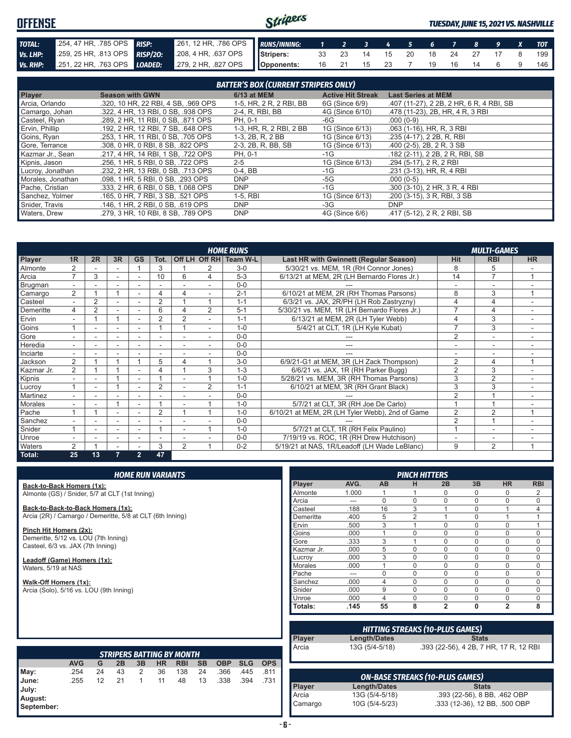#### Stripers **OFFENSE** *TUESDAY, JUNE 15, 2021 VS. NASHVILLE TOTAL:* .254, 47 HR, .785 OPS *RISP:* .261, 12 HR, .786 OPS *RUNS/INNING: 1 2 3 4 5 6 7 8 9 X TOT Vs. LHP:* .259, 25 HR, .813 OPS *RISP/2O:* .208, 4 HR, .637 OPS **Stripers:** 33 23 14 15 20 18 24 27 17 8 199 *Vs. RHP:* .251, 22 HR, .763 OPS *LOADED:* .279, 2 HR, .827 OPS **Opponents:** 16 21 15 23 7 19 16 14 6 9 146

| <b>BATTER'S BOX (CURRENT STRIPERS ONLY)</b> |                                     |                         |                          |                                          |  |  |
|---------------------------------------------|-------------------------------------|-------------------------|--------------------------|------------------------------------------|--|--|
| Player                                      | <b>Season with GWN</b>              | <b>6/13 at MEM</b>      | <b>Active Hit Streak</b> | <b>Last Series at MEM</b>                |  |  |
| Arcia, Orlando                              | .320, 10 HR, 22 RBI, 4 SB, .969 OPS | 1-5, HR, 2 R, 2 RBI, BB | 6G (Since 6/9)           | .407 (11-27), 2 2B, 2 HR, 6 R, 4 RBI, SB |  |  |
| Camargo, Johan                              | .322, 4 HR, 13 RBI, 0 SB, .938 OPS  | 2-4, R, RBI, BB         | 4G (Since 6/10)          | .478 (11-23), 2B, HR, 4 R, 3 RBI         |  |  |
| Casteel, Ryan                               | .289, 2 HR, 11 RBI, 0 SB, .871 OPS  | PH, 0-1                 | -6G                      | $.000(0-9)$                              |  |  |
| Ervin, Phillip                              | .192, 2 HR, 12 RBI, 7 SB, .648 OPS  | 1-3, HR, R, 2 RBI, 2 BB | 1G (Since 6/13)          | .063 (1-16), HR, R, 3 RBI                |  |  |
| Goins, Ryan                                 | .253, 1 HR, 11 RBI, 0 SB, .705 OPS  | 1-3, 2B, R, 2 BB        | 1G (Since 6/13)          | .235 (4-17), 2 2B, R, RBI                |  |  |
| Gore, Terrance                              | .308. 0 HR. 0 RBI. 8 SB. .822 OPS   | 2-3, 2B, R, BB, SB      | 1G (Since 6/13)          | .400 (2-5), 2B, 2R, 3SB                  |  |  |
| Kazmar Jr., Sean                            | .217, 4 HR, 14 RBI, 1 SB, .722 OPS  | PH, 0-1                 | -1G                      | .182 (2-11), 2 2B, 2 R, RBI, SB          |  |  |
| Kipnis, Jason                               | .256, 1 HR, 5 RBI, 0 SB, .722 OPS   | $2 - 5$                 | 1G (Since 6/13)          | .294 (5-17), 2 R, 2 RBI                  |  |  |
| Lucroy, Jonathan                            | .232, 2 HR, 13 RBI, 0 SB, .713 OPS  | $0-4$ , BB              | -1G                      | .231 (3-13), HR, R, 4 RBI                |  |  |
| Morales, Jonathan                           | .098, 1 HR, 5 RBI, 0 SB, .293 OPS   | <b>DNP</b>              | -5G                      | $.000(0-5)$                              |  |  |
| Pache, Cristian                             | .333, 2 HR, 6 RBI, 0 SB, 1,068 OPS  | <b>DNP</b>              | $-1G$                    | .300 (3-10), 2 HR, 3 R, 4 RBI            |  |  |
| Sanchez, Yolmer                             | .165. 0 HR. 7 RBI. 3 SB. .521 OPS   | $1-5,$ RBI              | 1G (Since 6/13)          | .200 (3-15), 3 R, RBI, 3 SB              |  |  |
| Snider, Travis                              | .146. 1 HR. 2 RBI. 0 SB. .619 OPS   | <b>DNP</b>              | -3G                      | <b>DNP</b>                               |  |  |
| Waters, Drew                                | .279. 3 HR. 10 RBI. 8 SB. .789 OPS  | <b>DNP</b>              | 4G (Since 6/6)           | .417 (5-12), 2 R, 2 RBI, SB              |  |  |

|                |                          |                |                          |                |                |                |                | <b>HOME RUNS</b>       |                                                 |                          | <b>MULTI-GAMES</b>       |           |
|----------------|--------------------------|----------------|--------------------------|----------------|----------------|----------------|----------------|------------------------|-------------------------------------------------|--------------------------|--------------------------|-----------|
| Player         | 1 <sub>R</sub>           | 2R             | 3R                       | <b>GS</b>      | Tot.           |                |                | Off LH Off RH Team W-L | Last HR with Gwinnett (Regular Season)          | <b>Hit</b>               | <b>RBI</b>               | <b>HR</b> |
| Almonte        | $\overline{2}$           |                |                          |                | 3              |                |                | $3-0$                  | 5/30/21 vs. MEM, 1R (RH Connor Jones)           | 8                        | 5                        |           |
| Arcia          | $\overline{ }$           | 3              |                          |                | 10             | 6              | 4              | $5 - 3$                | 6/13/21 at MEM, 2R (LH Bernardo Flores Jr.)     | 14                       | $\overline{7}$           |           |
| Brugman        | $\overline{\phantom{a}}$ |                |                          |                |                |                |                | $0 - 0$                |                                                 |                          |                          |           |
| Camargo        | $\overline{2}$           |                |                          |                | 4              | 4              |                | $2 - 1$                | 6/10/21 at MEM, 2R (RH Thomas Parsons)          | 8                        | 3                        |           |
| Casteel        | $\overline{\phantom{0}}$ | $\overline{2}$ |                          |                | $\overline{2}$ |                |                | $1 - 1$                | 6/3/21 vs. JAX, 2R/PH (LH Rob Zastryzny)        |                          | 4                        |           |
| Demeritte      | 4                        | 2              |                          |                | 6              | 4              | 2              | $5 - 1$                | 5/30/21 vs. MEM, 1R (LH Bernardo Flores Jr.)    |                          | 4                        |           |
| Ervin          |                          |                |                          |                | 2              | 2              |                | $1 - 1$                | 6/13/21 at MEM, 2R (LH Tyler Webb)              |                          | 3                        |           |
| Goins          |                          |                |                          |                |                |                |                | $1 - 0$                | 5/4/21 at CLT, 1R (LH Kyle Kubat)               |                          | 3                        |           |
| Gore           |                          |                |                          |                |                |                |                | $0 - 0$                |                                                 | $\overline{2}$           | $\sim$                   |           |
| Heredia        | ÷.                       |                |                          |                |                |                |                | $0 - 0$                |                                                 |                          | ٠                        |           |
| Inciarte       |                          |                |                          |                |                |                |                | $0 - 0$                | ---                                             | $\overline{\phantom{a}}$ |                          |           |
| Jackson        | $\overline{2}$           |                |                          |                | 5              | 4              |                | $3-0$                  | 6/9/21-G1 at MEM, 3R (LH Zack Thompson)         | $\overline{2}$           | 4                        |           |
| Kazmar Jr.     | 2                        |                |                          |                | 4              |                | 3              | $1 - 3$                | 6/6/21 vs. JAX, 1R (RH Parker Bugg)             | $\overline{2}$           | 3                        |           |
| Kipnis         | ٠                        |                |                          | ٠              |                |                |                | $1 - 0$                | 5/28/21 vs. MEM, 3R (RH Thomas Parsons)         | 3                        | $\overline{2}$           |           |
| Lucroy         |                          | ۰              |                          |                | $\overline{2}$ |                | $\overline{2}$ | $1 - 1$                | 6/10/21 at MEM. 3R (RH Grant Black)             | 3                        | 3                        |           |
| Martinez       |                          |                |                          |                |                |                |                | $0 - 0$                |                                                 | $\overline{2}$           |                          |           |
| <b>Morales</b> |                          |                |                          |                |                |                |                | $1 - 0$                | 5/7/21 at CLT, 3R (RH Joe De Carlo)             |                          |                          |           |
| Pache          |                          |                |                          |                | $\overline{2}$ |                |                | $1 - 0$                | 6/10/21 at MEM, 2R (LH Tyler Webb), 2nd of Game | $\overline{2}$           | 2                        |           |
| Sanchez        |                          |                |                          |                |                |                |                | $0 - 0$                |                                                 | $\mathfrak{p}$           |                          |           |
| Snider         |                          |                | $\overline{\phantom{a}}$ |                |                |                |                | $1 - 0$                | 5/7/21 at CLT, 1R (RH Felix Paulino)            |                          | $\overline{\phantom{a}}$ |           |
| Unroe          |                          |                | $\overline{\phantom{a}}$ | ۰              | ٠              |                |                | $0 - 0$                | 7/19/19 vs. ROC, 1R (RH Drew Hutchison)         |                          | ۰                        |           |
| Waters         | $\overline{2}$           |                |                          |                | 3              | $\overline{2}$ |                | $0 - 2$                | 5/19/21 at NAS, 1R/Leadoff (LH Wade LeBlanc)    | 9                        | $\overline{2}$           |           |
| Total:         | 25                       | 13             | 7                        | $\overline{2}$ | 47             |                |                |                        |                                                 |                          |                          |           |

**Back-to-Back Homers (1x):** Almonte (GS) / Snider, 5/7 at CLT (1st Inning)

**Back-to-Back-to-Back Homers (1x):** Arcia (2R) / Camargo / Demeritte, 5/8 at CLT (6th Inning)

**Pinch Hit Homers (2x):** Demeritte, 5/12 vs. LOU (7th Inning) Casteel, 6/3 vs. JAX (7th Inning)

**Leadoff (Game) Homers (1x):** Waters, 5/19 at NAS

**Walk-Off Homers (1x):** Arcia (Solo), 5/16 vs. LOU (9th Inning)

|               |       |          | <b>PINCH HITTERS</b> |                |              |                |            |
|---------------|-------|----------|----------------------|----------------|--------------|----------------|------------|
| <b>Player</b> | AVG.  | AB       | н                    | 2B             | 3B           | <b>HR</b>      | <b>RBI</b> |
| Almonte       | 1.000 | 1        |                      | 0              | 0            | 0              | 2          |
| Arcia         |       | $\Omega$ | $\Omega$             | $\Omega$       | $\mathbf 0$  | $\Omega$       | 0          |
| Casteel       | .188  | 16       | 3                    |                | $\mathbf 0$  | 1              | 4          |
| Demeritte     | .400  | 5        | $\overline{2}$       |                | $\mathbf 0$  | 1              |            |
| Ervin         | .500  | 3        | 1                    | $\Omega$       | $\mathbf 0$  | $\Omega$       |            |
| Goins         | .000  | 1        | $\Omega$             | $\Omega$       | $\mathbf 0$  | $\Omega$       | 0          |
| Gore          | .333  | 3        | 1                    | $\Omega$       | 0            | $\Omega$       | 0          |
| Kazmar Jr.    | .000  | 5        | $\Omega$             | $\Omega$       | 0            | $\Omega$       | 0          |
| Lucrov        | .000  | 3        | $\Omega$             | $\Omega$       | 0            | 0              | N          |
| Morales       | .000  | 1        | $\Omega$             | $\Omega$       | $\Omega$     | $\Omega$       | 0          |
| Pache         |       | $\Omega$ | $\Omega$             | $\Omega$       | $\Omega$     | O              | N          |
| Sanchez       | .000  | 4        | $\Omega$             | $\Omega$       | $\Omega$     | 0              | 0          |
| Snider        | .000  | 9        | $\Omega$             | $\Omega$       | $\Omega$     | $\Omega$       | 0          |
| Unroe         | .000  | 4        | $\Omega$             | $\Omega$       | $\mathbf 0$  | $\Omega$       | 0          |
| Totals:       | .145  | 55       | 8                    | $\overline{2}$ | $\mathbf{0}$ | $\overline{2}$ | 8          |

|               | <b>HITTING STREAKS (10-PLUS GAMES)</b> |                                        |  |  |  |  |  |
|---------------|----------------------------------------|----------------------------------------|--|--|--|--|--|
| <b>Player</b> | Length/Dates                           | <b>Stats</b>                           |  |  |  |  |  |
| Arcia         | 13G (5/4-5/18)                         | .393 (22-56), 4 2B, 7 HR, 17 R, 12 RBI |  |  |  |  |  |
|               |                                        |                                        |  |  |  |  |  |
|               |                                        | <b>ON-BASE STREAKS (10-PLUS GAMES)</b> |  |  |  |  |  |
| <b>Player</b> | <b>Length/Dates</b>                    | <b>Stats</b>                           |  |  |  |  |  |

Arcia 13G (5/4-5/18) .393 (22-56), 8 BB, 462 OBP<br>Camargo 10G (5/4-5/23) .333 (12-36), 12 BB, 500 OBP

.333 (12-36), 12 BB, .500 OBP

| <b>STRIPERS BATTING BY MONTH</b>        |            |    |    |    |           |            |           |            |            |            |
|-----------------------------------------|------------|----|----|----|-----------|------------|-----------|------------|------------|------------|
|                                         | <b>AVG</b> | G  | 2B | 3B | <b>HR</b> | <b>RBI</b> | <b>SB</b> | <b>OBP</b> | <b>SLG</b> | <b>OPS</b> |
| May:                                    | .254       | 24 | 43 | 2  | 36        | 138        | 24        | .366       | .445       | .811       |
| June:<br>July:<br>August:<br>September: | .255       | 12 | 21 | 1  | 11        | 48         | 13        | .338       | .394       | .731       |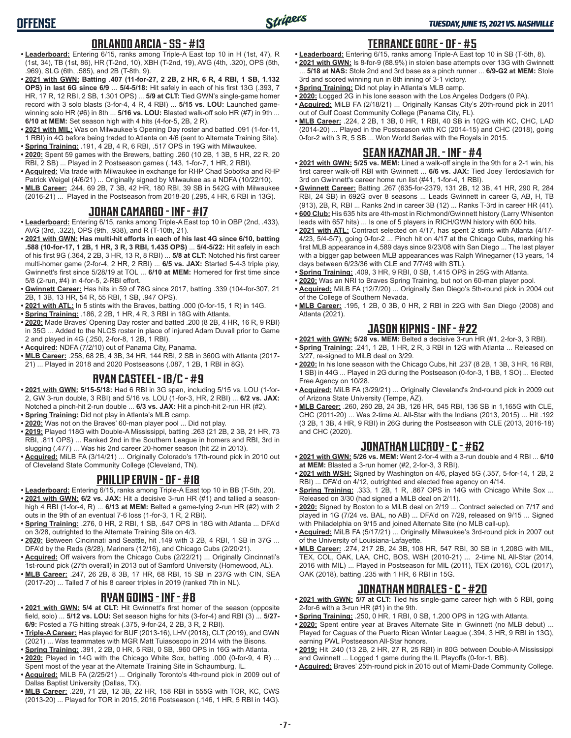### **ORLANDO ARCIA - SS - #13**

- **• Leaderboard:** Entering 6/15, ranks among Triple-A East top 10 in H (1st, 47), R (1st, 34), TB (1st, 86), HR (T-2nd, 10), XBH (T-2nd, 19), AVG (4th, .320), OPS (5th, .969), SLG (6th, .585), and 2B (T-8th, 9).
- **• 2021 with GWN: Batting .407 (11-for-27, 2 2B, 2 HR, 6 R, 4 RBI, 1 SB, 1.132 OPS) in last 6G since 6/9** ... **5/4-5/18:** Hit safely in each of his first 13G (.393, 7 HR, 17 R, 12 RBI, 2 SB, 1.301 OPS) ... **5/9 at CLT:** Tied GWN's single-game homer record with 3 solo blasts (3-for-4, 4 R, 4 RBI) ... **5/15 vs. LOU:** Launched gamewinning solo HR (#6) in 8th ... **5/16 vs. LOU:** Blasted walk-off solo HR (#7) in 9th ... **6/10 at MEM:** Set season high with 4 hits (4-for-5, 2B, 2 R).
- **• 2021 with MIL:** Was on Milwaukee's Opening Day roster and batted .091 (1-for-11, 1 RBI) in 4G before being traded to Atlanta on 4/6 (sent to Alternate Training Site).
- **• Spring Training:** .191, 4 2B, 4 R, 6 RBI, .517 OPS in 19G with Milwaukee. **• 2020:** Spent 59 games with the Brewers, batting .260 (10 2B, 1 3B, 5 HR, 22 R, 20 RBI, 2 SB) ... Played in 2 Postseason games (.143, 1-for-7, 1 HR, 2 RBI).
- **• Acquired:** Via trade with Milwaukee in exchange for RHP Chad Sobotka and RHP Patrick Weigel (4/6/21) ... Originally signed by Milwaukee as a NDFA (10/22/10).
- **• MLB Career:** .244, 69 2B, 7 3B, 42 HR, 180 RBI, 39 SB in 542G with Milwaukee (2016-21) ... Played in the Postseason from 2018-20 (.295, 4 HR, 6 RBI in 13G).

### **JOHAN CAMARGO - INF - #17**

- **• Leaderboard:** Entering 6/15, ranks among Triple-A East top 10 in OBP (2nd, .433), AVG (3rd, .322), OPS (9th, .938), and R (T-10th, 21).
- **• 2021 with GWN: Has multi-hit efforts in each of his last 4G since 6/10, batting .588 (10-for-17, 1 2B, 1 HR, 3 R, 3 RBI, 1.435 OPS)** ... **5/4-5/22:** Hit safely in each of his first 9G (.364, 2 2B, 3 HR, 13 R, 8 RBI) ... **5/8 at CLT:** Notched his first career multi-homer game (2-for-4, 2 HR, 2 RBI) ... **6/5 vs. JAX:** Started 5-4-3 triple play, Gwinnett's first since 5/28/19 at TOL ... **6/10 at MEM:** Homered for first time since 5/8 (2-run, #4) in 4-for-5, 2-RBI effort.
- **• Gwinnett Career:** Has hits in 59 of 78G since 2017, batting .339 (104-for-307, 21 2B, 1 3B, 13 HR, 54 R, 55 RBI, 1 SB, .947 OPS).
- **• 2021 with ATL:** In 5 stints with the Braves, batting .000 (0-for-15, 1 R) in 14G.
- **• Spring Training:** .186, 2 2B, 1 HR, 4 R, 3 RBI in 18G with Atlanta.
- **• 2020:** Made Braves' Opening Day roster and batted .200 (8 2B, 4 HR, 16 R, 9 RBI) in 35G ... Added to the NLCS roster in place of injured Adam Duvall prior to Game 2 and played in 4G (.250, 2-for-8, 1 2B, 1 RBI).
- **• Acquired:** NDFA (7/2/10) out of Panama City, Panama.
- **• MLB Career:** .258, 68 2B, 4 3B, 34 HR, 144 RBI, 2 SB in 360G with Atlanta (2017- 21) ... Played in 2018 and 2020 Postseasons (.087, 1 2B, 1 RBI in 8G).

### **RYAN CASTEEL - 1B/C - #9**

- **• 2021 with GWN: 5/15-5/18:** Had 6 RBI in 3G span, including 5/15 vs. LOU (1-for-2, GW 3-run double, 3 RBI) and 5/16 vs. LOU (1-for-3, HR, 2 RBI) ... **6/2 vs. JAX:** Notched a pinch-hit 2-run double ... **6/3 vs. JAX:** Hit a pinch-hit 2-run HR (#2).
- **• Spring Training:** Did not play in Atlanta's MLB camp.
- **• 2020:** Was not on the Braves' 60-man player pool ... Did not play.
- **• 2019:** Played 118G with Double-A Mississippi, batting .263 (21 2B, 2 3B, 21 HR, 73 RBI, .811 OPS) ... Ranked 2nd in the Southern League in homers and RBI, 3rd in slugging (.477) ... Was his 2nd career 20-homer season (hit 22 in 2013).
- **• Acquired:** MiLB FA (3/14/21) ... Originally Colorado's 17th-round pick in 2010 out of Cleveland State Community College (Cleveland, TN).

#### **PHILLIP ERVIN - OF - #18**

- **• Leaderboard:** Entering 6/15, ranks among Triple-A East top 10 in BB (T-5th, 20).
- **• 2021 with GWN: 6/2 vs. JAX:** Hit a decisive 3-run HR (#1) and tallied a seasonhigh 4 RBI (1-for-4, R) ... **6/13 at MEM:** Belted a game-tying 2-run HR (#2) with 2
- outs in the 9th of an eventual 7-6 loss (1-for-3, 1 R, 2 RBI). **• Spring Training:** .276, 0 HR, 2 RBI, 1 SB, .647 OPS in 18G with Atlanta ... DFA'd on 3/28, outrighted to the Alternate Training Site on 4/3.
- **• 2020:** Between Cincinnati and Seattle, hit .149 with 3 2B, 4 RBI, 1 SB in 37G ... DFA'd by the Reds (8/28), Mariners (12/16), and Chicago Cubs (2/20/21).
- **• Acquired:** Off waivers from the Chicago Cubs (2/22/21) ... Originally Cincinnati's 1st-round pick (27th overall) in 2013 out of Samford University (Homewood, AL).
- **• MLB Career:** .247, 26 2B, 8 3B, 17 HR, 68 RBI, 15 SB in 237G with CIN, SEA (2017-20) ... Talled 7 of his 8 career triples in 2019 (ranked 7th in NL).

### **RYAN GOINS - INF - #8**

- **• 2021 with GWN: 5/4 at CLT:** Hit Gwinnett's first homer of the season (opposite field, solo) ... **5/12 vs. LOU:** Set season highs for hits (3-for-4) and RBI (3) ... **5/27- 6/9:** Posted a 7G hitting streak (.375, 9-for-24, 2 2B, 3 R, 2 RBI).
- **• Triple-A Career:** Has played for BUF (2013-16), LHV (2018), CLT (2019), and GWN (2021) ... Was teammates with MGR Matt Tuiasosopo in 2014 with the Bisons.
- **• Spring Training:** .391, 2 2B, 0 HR, 5 RBI, 0 SB, .960 OPS in 16G with Atlanta.
- **• 2020:** Played in 14G with the Chicago White Sox, batting .000 (0-for-9, 4 R) ...
- Spent most of the year at the Alternate Training Site in Schaumburg, IL. **• Acquired:** MiLB FA (2/25/21) ... Originally Toronto's 4th-round pick in 2009 out of Dallas Baptist University (Dallas, TX).
- **• MLB Career:** .228, 71 2B, 12 3B, 22 HR, 158 RBI in 555G with TOR, KC, CWS (2013-20) ... Played for TOR in 2015, 2016 Postseason (.146, 1 HR, 5 RBI in 14G).

### **TERRANCE GORE - OF - #5**

- **• Leaderboard:** Entering 6/15, ranks among Triple-A East top 10 in SB (T-5th, 8).
- **• 2021 with GWN:** Is 8-for-9 (88.9%) in stolen base attempts over 13G with Gwinnett ... **5/18 at NAS:** Stole 2nd and 3rd base as a pinch runner ... **6/9-G2 at MEM:** Stole 3rd and scored winning run in 8th inning of 3-1 victory.
- **• Spring Training:** Did not play in Atlanta's MLB camp.
- **• 2020:** Logged 2G in his lone season with the Los Angeles Dodgers (0 PA).
- **• Acquired:** MiLB FA (2/18/21) ... Originally Kansas City's 20th-round pick in 2011 out of Gulf Coast Community College (Panama City, FL).
- **• MLB Career:** .224, 2 2B, 1 3B, 0 HR, 1 RBI, 40 SB in 102G with KC, CHC, LAD (2014-20) ... Played in the Postseason with KC (2014-15) and CHC (2018), going 0-for-2 with 3 R, 5 SB ... Won World Series with the Royals in 2015.

# **SEAN KAZMAR JR. - INF - #4**

- **• 2021 with GWN: 5/25 vs. MEM:** Lined a walk-off single in the 9th for a 2-1 win, his first career walk-off RBI with Gwinnett ... **6/6 vs. JAX:** Tied Joey Terdoslavich for 3rd on Gwinnett's career home run list (#41, 1-for-4, 1 RBI).
- **• Gwinnett Career:** Batting .267 (635-for-2379, 131 2B, 12 3B, 41 HR, 290 R, 284 RBI, 24 SB) in 692G over 8 seasons ... Leads Gwinnett in career G, AB, H, TB (913), 2B, R, RBI ... Ranks 2nd in career 3B (12) ... Ranks T-3rd in career HR (41).
- **• 600 Club:** His 635 hits are 4th-most in Richmond/Gwinnett history (Larry Whisenton leads with 657 hits) ... Is one of 5 players in RICH/GWN history with 600 hits.
- **• 2021 with ATL:** Contract selected on 4/17, has spent 2 stints with Atlanta (4/17- 4/23, 5/4-5/7), going 0-for-2 ... Pinch hit on 4/17 at the Chicago Cubs, marking his first MLB appearance in 4,589 days since 9/23/08 with San Diego ... The last player with a bigger gap between MLB appearances was Ralph Winegarner (13 years, 14 days between 6/23/36 with CLE and 7/7/49 with STL).
- **• Spring Training:** .409, 3 HR, 9 RBI, 0 SB, 1.415 OPS in 25G with Atlanta.
- **• 2020:** Was an NRI to Braves Spring Training, but not on 60-man player pool.
- **• Acquired:** MiLB FA (12/7/20) ... Originally San Diego's 5th-round pick in 2004 out of the College of Southern Nevada.
- **• MLB Career:** .195, 1 2B, 0 3B, 0 HR, 2 RBI in 22G with San Diego (2008) and Atlanta (2021).

#### **JASON KIPNIS - INF - #22**

- **• 2021 with GWN: 5/28 vs. MEM:** Belted a decisive 3-run HR (#1, 2-for-3, 3 RBI).
- **• Spring Training:** .241, 1 2B, 1 HR, 2 R, 3 RBI in 12G with Atlanta ... Released on 3/27, re-signed to MiLB deal on 3/29.
- **• 2020:** In his lone season with the Chicago Cubs, hit .237 (8 2B, 1 3B, 3 HR, 16 RBI, 1 SB) in 44G ... Played in 2G during the Postseason (0-for-3, 1 BB, 1 SO) ... Elected Free Agency on 10/28.
- **• Acquired:** MiLB FA (3/29/21) ... Originally Cleveland's 2nd-round pick in 2009 out of Arizona State University (Tempe, AZ).
- **• MLB Career:** .260, 260 2B, 24 3B, 126 HR, 545 RBI, 136 SB in 1,165G with CLE, CHC (2011-20) ... Was 2-time AL All-Star with the Indians (2013, 2015) ... Hit .192 (3 2B, 1 3B, 4 HR, 9 RBI) in 26G during the Postseason with CLE (2013, 2016-18) and CHC (2020).

#### **JONATHAN LUCROY - C - #62**

- **• 2021 with GWN: 5/26 vs. MEM:** Went 2-for-4 with a 3-run double and 4 RBI ... **6/10 at MEM:** Blasted a 3-run homer (#2, 2-for-3, 3 RBI).
- **• 2021 with WSH:** Signed by Washington on 4/6, played 5G (.357, 5-for-14, 1 2B, 2 RBI) ... DFA'd on 4/12, outrighted and elected free agency on 4/14.
- **• Spring Training:** .333, 1 2B, 1 R, .867 OPS in 14G with Chicago White Sox ... Released on 3/30 (had signed a MiLB deal on 2/11).
- **• 2020:** Signed by Boston to a MiLB deal on 2/19 ... Contract selected on 7/17 and played in 1G (7/24 vs. BAL, no AB) ... DFA'd on 7/29, released on 9/15 ... Signed with Philadelphia on 9/15 and joined Alternate Site (no MLB call-up).
- **• Acquired:** MiLB FA (5/17/21) ... Originally Milwaukee's 3rd-round pick in 2007 out of the University of Louisiana-Lafayette.
- **• MLB Career:** .274, 217 2B, 24 3B, 108 HR, 547 RBI, 30 SB in 1,208G with MIL, TEX, COL, OAK, LAA, CHC, BOS, WSH (2010-21) ... 2-time NL All-Star (2014, 2016 with MIL) ... Played in Postseason for MIL (2011), TEX (2016), COL (2017), OAK (2018), batting .235 with 1 HR, 6 RBI in 15G.

#### **JONATHAN MORALES - C - #20**

- **• 2021 with GWN: 5/7 at CLT:** Tied his single-game career high with 5 RBI, going 2-for-6 with a 3-run HR (#1) in the 9th.
- **• Spring Training:** .250, 0 HR, 1 RBI, 0 SB, 1.200 OPS in 12G with Atlanta.
- **• 2020:** Spent entire year at Braves Alternate Site in Gwinnett (no MLB debut) ... Played for Caguas of the Puerto Rican Winter League (.394, 3 HR, 9 RBI in 13G), earning PWL Postseason All-Star honors.
- **• 2019:** Hit .240 (13 2B, 2 HR, 27 R, 25 RBI) in 80G between Double-A Mississippi and Gwinnett ... Logged 1 game during the IL Playoffs (0-for-1, BB).
- **• Acquired:** Braves' 25th-round pick in 2015 out of Miami-Dade Community College.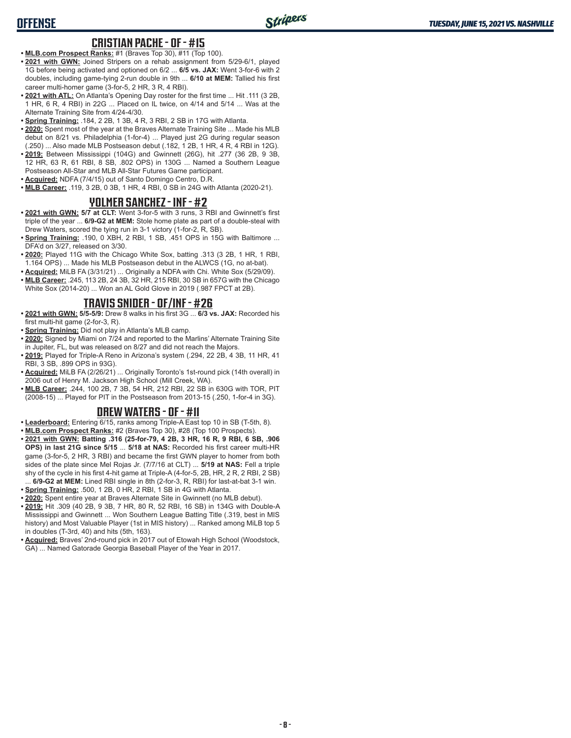# **OFFENSE**

#### **CRISTIAN PACHE - OF - #15**

- **• MLB.com Prospect Ranks:** #1 (Braves Top 30), #11 (Top 100).
- **• 2021 with GWN:** Joined Stripers on a rehab assignment from 5/29-6/1, played 1G before being activated and optioned on 6/2 ... **6/5 vs. JAX:** Went 3-for-6 with 2 doubles, including game-tying 2-run double in 9th ... **6/10 at MEM:** Tallied his first career multi-homer game (3-for-5, 2 HR, 3 R, 4 RBI).
- **• 2021 with ATL:** On Atlanta's Opening Day roster for the first time ... Hit .111 (3 2B, 1 HR, 6 R, 4 RBI) in 22G ... Placed on IL twice, on 4/14 and 5/14 ... Was at the Alternate Training Site from 4/24-4/30.
- **• Spring Training:** .184, 2 2B, 1 3B, 4 R, 3 RBI, 2 SB in 17G with Atlanta.
- **• 2020:** Spent most of the year at the Braves Alternate Training Site ... Made his MLB debut on 8/21 vs. Philadelphia (1-for-4) ... Played just 2G during regular season (.250) ... Also made MLB Postseason debut (.182, 1 2B, 1 HR, 4 R, 4 RBI in 12G).
- **• 2019:** Between Mississippi (104G) and Gwinnett (26G), hit .277 (36 2B, 9 3B, 12 HR, 63 R, 61 RBI, 8 SB, .802 OPS) in 130G ... Named a Southern League Postseason All-Star and MLB All-Star Futures Game participant.
- **• Acquired:** NDFA (7/4/15) out of Santo Domingo Centro, D.R.
- **• MLB Career:** .119, 3 2B, 0 3B, 1 HR, 4 RBI, 0 SB in 24G with Atlanta (2020-21).

#### **YOLMER SANCHEZ - INF - #2**

- **• 2021 with GWN: 5/7 at CLT:** Went 3-for-5 with 3 runs, 3 RBI and Gwinnett's first triple of the year ... **6/9-G2 at MEM:** Stole home plate as part of a double-steal with Drew Waters, scored the tying run in 3-1 victory (1-for-2, R, SB).
- **• Spring Training:** .190, 0 XBH, 2 RBI, 1 SB, .451 OPS in 15G with Baltimore ... DFA'd on 3/27, released on 3/30.
- **• 2020:** Played 11G with the Chicago White Sox, batting .313 (3 2B, 1 HR, 1 RBI, 1.164 OPS) ... Made his MLB Postseason debut in the ALWCS (1G, no at-bat).
- **• Acquired:** MiLB FA (3/31/21) ... Originally a NDFA with Chi. White Sox (5/29/09).
- **• MLB Career:** .245, 113 2B, 24 3B, 32 HR, 215 RBI, 30 SB in 657G with the Chicago White Sox (2014-20) ... Won an AL Gold Glove in 2019 (.987 FPCT at 2B).

### **TRAVIS SNIDER - OF/INF - #26**

- **• 2021 with GWN: 5/5-5/9:** Drew 8 walks in his first 3G ... **6/3 vs. JAX:** Recorded his first multi-hit game (2-for-3, R).
- **• Spring Training:** Did not play in Atlanta's MLB camp.
- **• 2020:** Signed by Miami on 7/24 and reported to the Marlins' Alternate Training Site in Jupiter, FL, but was released on 8/27 and did not reach the Majors.
- **• 2019:** Played for Triple-A Reno in Arizona's system (.294, 22 2B, 4 3B, 11 HR, 41 RBI, 3 SB, .899 OPS in 93G).
- **• Acquired:** MiLB FA (2/26/21) ... Originally Toronto's 1st-round pick (14th overall) in 2006 out of Henry M. Jackson High School (Mill Creek, WA).
- **• MLB Career:** .244, 100 2B, 7 3B, 54 HR, 212 RBI, 22 SB in 630G with TOR, PIT (2008-15) ... Played for PIT in the Postseason from 2013-15 (.250, 1-for-4 in 3G).

#### **DREW WATERS - OF - #11**

- **• Leaderboard:** Entering 6/15, ranks among Triple-A East top 10 in SB (T-5th, 8).
- **• MLB.com Prospect Ranks:** #2 (Braves Top 30), #28 (Top 100 Prospects).
- **• 2021 with GWN: Batting .316 (25-for-79, 4 2B, 3 HR, 16 R, 9 RBI, 6 SB, .906 OPS) in last 21G since 5/15** ... **5/18 at NAS:** Recorded his first career multi-HR game (3-for-5, 2 HR, 3 RBI) and became the first GWN player to homer from both sides of the plate since Mel Rojas Jr. (7/7/16 at CLT) ... **5/19 at NAS:** Fell a triple shy of the cycle in his first 4-hit game at Triple-A (4-for-5, 2B, HR, 2 R, 2 RBI, 2 SB) ... **6/9-G2 at MEM:** Lined RBI single in 8th (2-for-3, R, RBI) for last-at-bat 3-1 win.
- **• Spring Training:** .500, 1 2B, 0 HR, 2 RBI, 1 SB in 4G with Atlanta.
- **• 2020:** Spent entire year at Braves Alternate Site in Gwinnett (no MLB debut).
- **• 2019:** Hit .309 (40 2B, 9 3B, 7 HR, 80 R, 52 RBI, 16 SB) in 134G with Double-A Mississippi and Gwinnett ... Won Southern League Batting Title (.319, best in MIS history) and Most Valuable Player (1st in MIS history) ... Ranked among MiLB top 5 in doubles (T-3rd, 40) and hits (5th, 163).
- **• Acquired:** Braves' 2nd-round pick in 2017 out of Etowah High School (Woodstock, GA) ... Named Gatorade Georgia Baseball Player of the Year in 2017.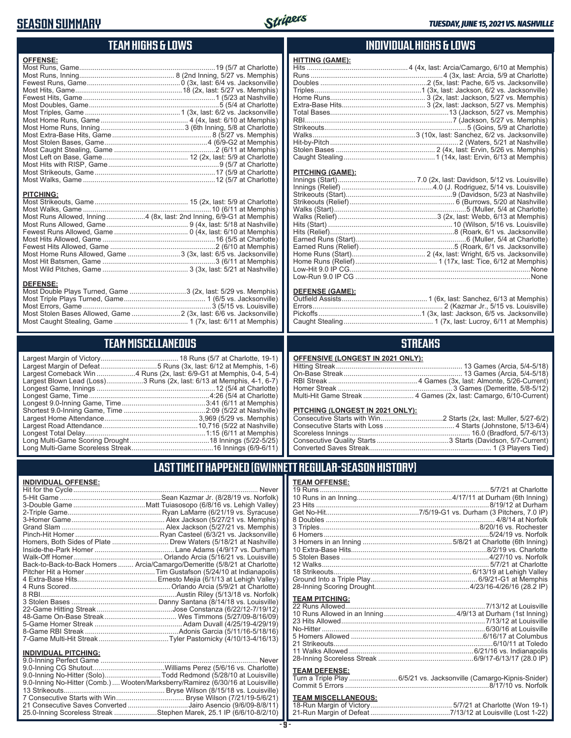# **SEASON SUMMARY**



### **TEAM HIGHS & LOWS**

| <b>OFFENSE:</b>                                                      |                                                                  |
|----------------------------------------------------------------------|------------------------------------------------------------------|
|                                                                      |                                                                  |
|                                                                      |                                                                  |
|                                                                      |                                                                  |
|                                                                      |                                                                  |
|                                                                      |                                                                  |
| <b>PITCHING:</b>                                                     |                                                                  |
|                                                                      |                                                                  |
| Most Runs Allowed, Inning4 (8x, last: 2nd Inning, 6/9-G1 at Memphis) |                                                                  |
|                                                                      |                                                                  |
|                                                                      |                                                                  |
|                                                                      |                                                                  |
|                                                                      |                                                                  |
|                                                                      | Most Home Runs Allowed, Game  3 (3x, last: 6/5 vs. Jacksonville) |

Most Hit Batsmen, Game ..........................................................3 (6/11 at Memphis) Most Wild Pitches, Game ............................................ 3 (3x, last: 5/21 at Nashville)

Most Double Plays Turned, Game .............................3 (2x, last: 5/29 vs. Memphis) Most Triple Plays Turned, Game .......................................... 1 (6/5 vs. Jacksonville) Most Errors, Game ..................................................................3 (5/15 vs. Louisville) Most Stolen Bases Allowed, Game .........................2 (3x, last: 6/6 vs. Jacksonville) Most Caught Stealing, Game ...................................... 1 (7x, last: 6/11 at Memphis)

**TEAM MISCELLANEOUS** Largest Margin of Victory........................................ 18 Runs (5/7 at Charlotte, 19-1) Largest Margin of Defeat.............................5 Runs (3x, last: 6/12 at Memphis, 1-6) Largest Comeback Win ....................4 Runs (2x, last: 6/9-G1 at Memphis, 0-4, 5-4) Largest Blown Lead (Loss)...................3 Runs (2x, last: 6/13 at Memphis, 4-1, 6-7) Longest Game, Innings .............................................................12 (5/4 at Charlotte) Longest Game, Time ..............................................................4:26 (5/4 at Charlotte) Longest 9.0-Inning Game, Time ...........................................3:41 (6/11 at Memphis) Shortest 9.0-Inning Game, Time ..........................................2:09 (5/22 at Nashville) Largest Home Attendance ................................................ 3,969 (5/29 vs. Memphis) Largest Road Attendance .................................................10,716 (5/22 at Nashville) Longest Total Delay..............................................................1:15 (6/11 at Memphis) Long Multi-Game Scoring Drought .........................................18 Innings (5/22-5/25) Long Multi-Game Scoreless Streak ..........................................16 Innings (6/9-6/11)

#### **INDIVIDUAL HIGHS & LOWS**

| HITTING (GAME): |                                                                               |
|-----------------|-------------------------------------------------------------------------------|
|                 | Hits …………………………………………………………………………4 (4x, last: Arcia/Camargo, 6/10 at Memphis) |
|                 |                                                                               |
|                 |                                                                               |
|                 |                                                                               |
|                 |                                                                               |
|                 |                                                                               |
|                 |                                                                               |
|                 |                                                                               |
|                 |                                                                               |
|                 |                                                                               |
|                 |                                                                               |
|                 |                                                                               |
|                 |                                                                               |
|                 |                                                                               |

#### **PITCHING (GAME):**

#### **DEFENSE (GAME):**

#### **STREAKS**

#### **OFFENSIVE (LONGEST IN 2021 ONLY):**

#### **PITCHING (LONGEST IN 2021 ONLY):**

#### **LAST TIME IT HAPPENED (GWINNETT REGULAR-SEASON HISTORY)**

#### **INDIVIDUAL OFFENSE:**

**DEFENSE:**

| Homers, Both Sides of Plate  Drew Waters (5/18/21 at Nashville)                                                 |
|-----------------------------------------------------------------------------------------------------------------|
|                                                                                                                 |
|                                                                                                                 |
| Back-to-Back-to-Back Homers  Arcia/Camargo/Demeritte (5/8/21 at Charlotte)                                      |
|                                                                                                                 |
|                                                                                                                 |
|                                                                                                                 |
|                                                                                                                 |
|                                                                                                                 |
|                                                                                                                 |
|                                                                                                                 |
|                                                                                                                 |
|                                                                                                                 |
|                                                                                                                 |
|                                                                                                                 |
|                                                                                                                 |
| the contract of the contract of the contract of the contract of the contract of the contract of the contract of |
|                                                                                                                 |

| 9.0-Inning No-Hitter (Solo)Todd Redmond (5/28/10 at Louisville)                 |  |
|---------------------------------------------------------------------------------|--|
| 9.0-Inning No-Hitter (Comb.)  Wooten/Marksberry/Ramirez (6/30/16 at Louisville) |  |
|                                                                                 |  |
|                                                                                 |  |
| 21 Consecutive Saves Converted Jairo Asencio (9/6/09-8/8/11)                    |  |
| 25.0-Inning Scoreless Streak Stephen Marek, 25.1 IP (6/6/10-8/2/10)             |  |
|                                                                                 |  |

# **TEAM OFFENSE:**

| <b>I CAM UFFENSE.</b> |  |
|-----------------------|--|
|                       |  |
|                       |  |
|                       |  |
|                       |  |
|                       |  |
|                       |  |
|                       |  |
|                       |  |
|                       |  |
|                       |  |
|                       |  |
|                       |  |
|                       |  |
|                       |  |
| <b>TEAM PITCHING:</b> |  |
|                       |  |
|                       |  |
|                       |  |
|                       |  |
|                       |  |
|                       |  |
|                       |  |
|                       |  |
|                       |  |

#### **TEAM DEFENSE:**

| Turn a Triple Play 6/5/21 vs. Jacksonville (Camargo-Kipnis-Snider) |
|--------------------------------------------------------------------|
|                                                                    |

# **TEAM MISCELLANEOUS:**<br>18-Run Margin of Victory....

| 21-Run Margin of Defeat…………………………………7/13/12 at Louisville (Lost 1-22) |  |  |
|-----------------------------------------------------------------------|--|--|